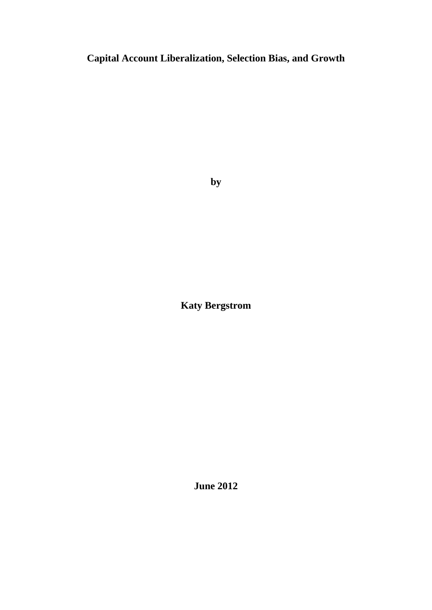**Capital Account Liberalization, Selection Bias, and Growth**

**by**

**Katy Bergstrom**

**June 2012**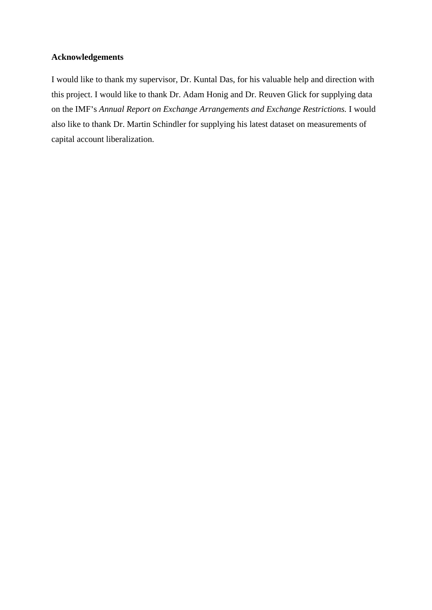# **Acknowledgements**

I would like to thank my supervisor, Dr. Kuntal Das, for his valuable help and direction with this project. I would like to thank Dr. Adam Honig and Dr. Reuven Glick for supplying data on the IMF's *Annual Report on Exchange Arrangements and Exchange Restrictions*. I would also like to thank Dr. Martin Schindler for supplying his latest dataset on measurements of capital account liberalization.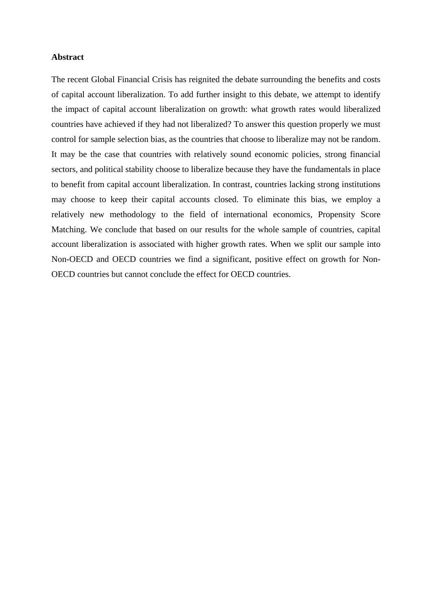#### **Abstract**

The recent Global Financial Crisis has reignited the debate surrounding the benefits and costs of capital account liberalization. To add further insight to this debate, we attempt to identify the impact of capital account liberalization on growth: what growth rates would liberalized countries have achieved if they had not liberalized? To answer this question properly we must control for sample selection bias, as the countries that choose to liberalize may not be random. It may be the case that countries with relatively sound economic policies, strong financial sectors, and political stability choose to liberalize because they have the fundamentals in place to benefit from capital account liberalization. In contrast, countries lacking strong institutions may choose to keep their capital accounts closed. To eliminate this bias, we employ a relatively new methodology to the field of international economics, Propensity Score Matching. We conclude that based on our results for the whole sample of countries, capital account liberalization is associated with higher growth rates. When we split our sample into Non-OECD and OECD countries we find a significant, positive effect on growth for Non- OECD countries but cannot conclude the effect for OECD countries.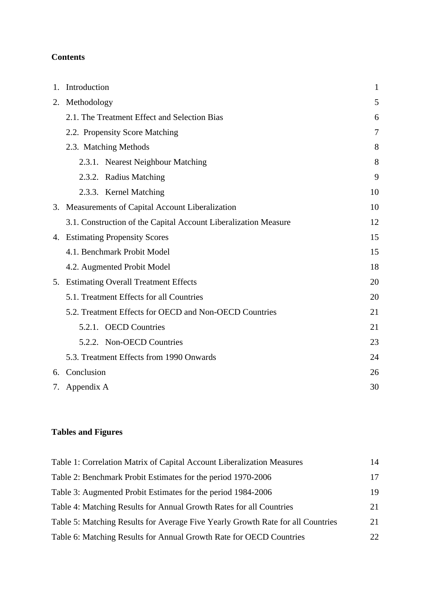## **Contents**

| Introduction                                                    |    |
|-----------------------------------------------------------------|----|
| 2. Methodology                                                  |    |
| 2.1. The Treatment Effect and Selection Bias                    |    |
| 2.2. Propensity Score Matching                                  |    |
| 2.3. Matching Methods                                           |    |
| 2.3.1. Nearest Neighbour Matching                               |    |
| 2.3.2. Radius Matching                                          |    |
| 2.3.3. Kernel Matching                                          | 10 |
| 3. Measurements of Capital Account Liberalization               | 10 |
| 3.1. Construction of the Capital Account Liberalization Measure | 12 |
| 4. Estimating Propensity Scores                                 | 15 |
| 4.1. Benchmark Probit Model                                     | 15 |
| 4.2. Augmented Probit Model                                     | 18 |
| 5. Estimating Overall Treatment Effects                         | 20 |
| 5.1. Treatment Effects for all Countries                        | 20 |
| 5.2. Treatment Effects for OECD and Non-OECD Countries          | 21 |
| 5.2.1. OECD Countries                                           | 21 |
| 5.2.2. Non-OECD Countries                                       | 23 |
| 5.3. Treatment Effects from 1990 Onwards                        | 24 |
| 6. Conclusion                                                   | 26 |
| 7. Appendix A                                                   | 30 |

# **Tables and Figures**

| Table 1: Correlation Matrix of Capital Account Liberalization Measures          |  |
|---------------------------------------------------------------------------------|--|
| Table 2: Benchmark Probit Estimates for the period 1970-2006                    |  |
| Table 3: Augmented Probit Estimates for the period 1984-2006                    |  |
| Table 4: Matching Results for Annual Growth Rates for all Countries             |  |
| Table 5: Matching Results for Average Five Yearly Growth Rate for all Countries |  |
| Table 6: Matching Results for Annual Growth Rate for OECD Countries             |  |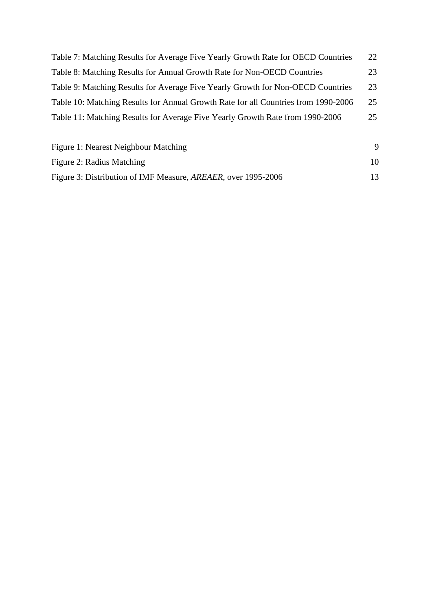| Figure 1: Nearest Neighbour Matching                                                  |    |
|---------------------------------------------------------------------------------------|----|
| Table 11: Matching Results for Average Five Yearly Growth Rate from 1990-2006         | 25 |
| Table 10: Matching Results for Annual Growth Rate for all Countries from 1990-2006 25 |    |
| Table 9: Matching Results for Average Five Yearly Growth for Non-OECD Countries 23    |    |
| Table 8: Matching Results for Annual Growth Rate for Non-OECD Countries               | 23 |
| Table 7: Matching Results for Average Five Yearly Growth Rate for OECD Countries 22   |    |

| Figure 2: Radius Matching                                                  |  |
|----------------------------------------------------------------------------|--|
| Figure 3: Distribution of IMF Measure,<br>$\cdot$ , AREAER, over 1995-2006 |  |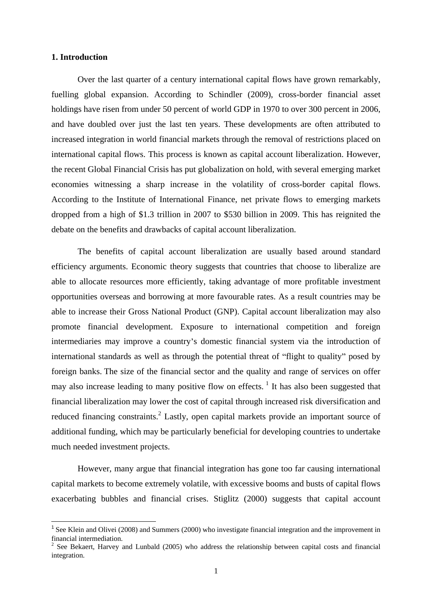#### **1. Introduction**

Over the last quarter of a century international capital flows have grown remarkably, fuelling global expansion. According to Schindler (2009), cross-border financial asset holdings have risen from under 50 percent of world GDP in 1970 to over 300 percent in 2006, and have doubled over just the last ten years. These developments are often attributed to increased integration in world financial markets through the removal of restrictions placed on international capital flows. This process is known as capital account liberalization. However, the recent Global Financial Crisis has put globalization on hold, with several emerging market economies witnessing <sup>a</sup> sharp increase in the volatility of cross-border capital flows. According to the Institute of International Finance, net private flows to emerging markets dropped from a high of \$1.3 trillion in 2007 to \$530 billion in 2009. This has reignited the debate on the benefits and drawbacks of capital account liberalization.

The benefits of capital account liberalization are usually based around standard efficiency arguments. Economic theory suggests that countries that choose to liberalize are able to allocate resources more efficiently, taking advantage of more profitable investment opportunities overseas and borrowing at more favourable rates. As a result countries may be able to increase their Gross National Product (GNP). Capital account liberalization may also promote financial development. Exposure to international competition and foreign intermediaries may improve a country's domestic financial system via the introduction of international standards as well as through the potential threat of "flight to quality" posed by foreign banks. The size of the financial sector and the quality and range of services on offer may also increase leading to many positive flow on effects. <sup>1</sup> It has also been suggested that financial liberalization may lower the cost of capital through increased risk diversification and reduced financing constraints.<sup>2</sup> Lastly, open capital markets provide an important source of additional funding, which may be particularly beneficial for developing countries to undertake much needed investment projects.

However, many argue that financial integration has gone too far causing international capital markets to become extremely volatile, with excessive booms and busts of capital flows exacerbating bubbles and financial crises. Stiglitz (2000) suggests that capital account

<sup>&</sup>lt;sup>1</sup> See Klein and Olivei (2008) and Summers (2000) who investigate financial integration and the improvement in financial intermediation.<br><sup>2</sup> See Bekaert, Harvey and Lunbald (2005) who address the relationship between capital costs and financial

integration.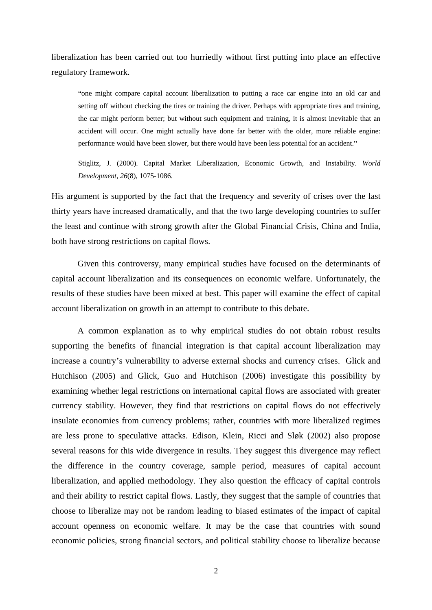liberalization has been carried out too hurriedly without first putting into place an effective regulatory framework.

one might compare capital account liberalization to putting a race car engine into an old car and setting off without checking the tires or training the driver. Perhaps with appropriate tires and training, the car might perform better; but without such equipment and training, it is almost inevitable that an accident will occur. One might actually have done far better with the older, more reliable engine: performance would have been slower, but there would have been less potential for an accident.

Stiglitz, J. (2000). Capital Market Liberalization, Economic Growth, and Instability. *World Development, 26*(8), 1075-1086.

His argument is supported by the fact that the frequency and severity of crises over the last thirty years have increased dramatically, and that the two large developing countries to suffer the least and continue with strong growth after the Global Financial Crisis, China and India, both have strong restrictions on capital flows.

Given this controversy, many empirical studies have focused on the determinants of capital account liberalization and its consequences on economic welfare. Unfortunately, the results of these studies have been mixed at best. This paper will examine the effect of capital account liberalization on growth in an attempt to contribute to this debate.

A common explanation as to why empirical studies do not obtain robust results supporting the benefits of financial integration is that capital account liberalization may increase a country's vulnerability to adverse external shocks and currency crises. Glick and Hutchison (2005) and Glick, Guo and Hutchison (2006) investigate this possibility by examining whether legal restrictions on international capital flows are associated with greater currency stability. However, they find that restrictions on capital flows do not effectively insulate economies from currency problems; rather, countries with more liberalized regimes are less prone to speculative attacks. Edison, Klein, Ricci and Sløk (2002) also propose several reasons for this wide divergence in results. They suggest this divergence may reflect the difference in the country coverage, sample period, measures of capital account liberalization, and applied methodology. They also question the efficacy of capital controls and their ability to restrict capital flows. Lastly, they suggest that the sample of countries that choose to liberalize may not be random leading to biased estimates of the impact of capital account openness on economic welfare. It may be the case that countries with sound economic policies, strong financial sectors, and political stability choose to liberalize because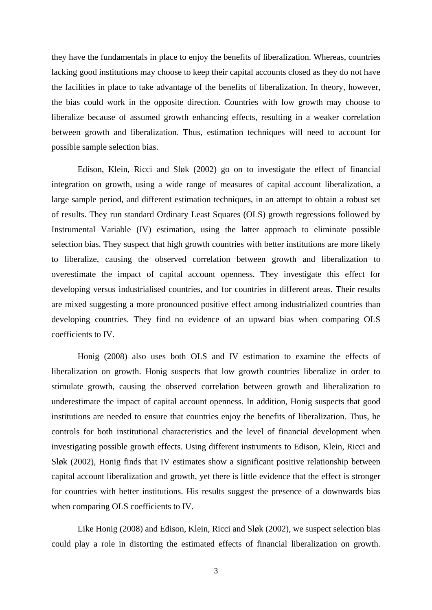they have the fundamentals in place to enjoy the benefits of liberalization. Whereas, countries lacking good institutions may choose to keep their capital accounts closed as they do not have the facilities in place to take advantage of the benefits of liberalization. In theory, however, the bias could work in the opposite direction. Countries with low growth may choose to liberalize because of assumed growth enhancing effects, resulting in a weaker correlation between growth and liberalization. Thus, estimation techniques will need to account for possible sample selection bias.

Edison, Klein, Ricci and Sløk (2002) go on to investigate the effect of financial integration on growth, using a wide range of measures of capital account liberalization, a large sample period, and different estimation techniques, in an attempt to obtain a robust set of results. They run standard Ordinary Least Squares (OLS) growth regressions followed by Instrumental Variable (IV) estimation, using the latter approach to eliminate possible selection bias. They suspect that high growth countries with better institutions are more likely to liberalize, causing the observed correlation between growth and liberalization to overestimate the impact of capital account openness. They investigate this effect for developing versus industrialised countries, and for countries in different areas. Their results are mixed suggesting a more pronounced positive effect among industrialized countries than developing countries. They find no evidence of an upward bias when comparing OLS coefficients to IV.

Honig (2008) also uses both OLS and IV estimation to examine the effects of liberalization on growth. Honig suspects that low growth countries liberalize in order to stimulate growth, causing the observed correlation between growth and liberalization to underestimate the impact of capital account openness. In addition, Honig suspects that good institutions are needed to ensure that countries enjoy the benefits of liberalization. Thus, he controls for both institutional characteristics and the level of financial development when investigating possible growth effects. Using different instruments to Edison, Klein, Ricci and Sløk (2002), Honig finds that IV estimates show a significant positive relationship between capital account liberalization and growth, yet there is little evidence that the effect is stronger for countries with better institutions. His results suggest the presence of a downwards bias when comparing OLS coefficients to IV.

Like Honig (2008) and Edison, Klein, Ricci and Sløk (2002), we suspect selection bias could play a role in distorting the estimated effects of financial liberalization on growth.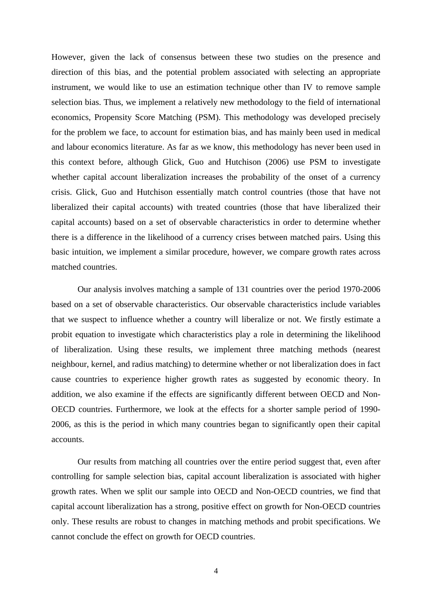However, given the lack of consensus between these two studies on the presence and direction of this bias, and the potential problem associated with selecting an appropriate instrument, we would like to use an estimation technique other than IV to remove sample selection bias. Thus, we implement a relatively new methodology to the field of international economics, Propensity Score Matching (PSM). This methodology was developed precisely for the problem we face, to account for estimation bias, and has mainly been used in medical and labour economics literature. As far as we know, this methodology has never been used in this context before, although Glick, Guo and Hutchison (2006) use PSM to investigate whether capital account liberalization increases the probability of the onset of a currency crisis. Glick, Guo and Hutchison essentially match control countries (those that have not liberalized their capital accounts) with treated countries (those that have liberalized their capital accounts) based on a set of observablecharacteristics in order to determine whether there is a difference in the likelihood of a currency crises between matched pairs. Using this basic intuition, we implement a similar procedure, however, we compare growth rates across matched countries.

Our analysis involves matching a sample of 131 countries over the period 1970-2006 based on a set of observable characteristics. Our observable characteristics include variables that we suspect to influence whether a country will liberalize or not. We firstly estimate a probit equation to investigate which characteristics play a role in determining the likelihood of liberalization. Using these results, we implement three matching methods (nearest neighbour, kernel, and radius matching) to determine whether or not liberalization does in fact cause countries to experience higher growth rates as suggested by economic theory. In addition, we also examine if the effects are significantly different between OECD and Non- OECD countries. Furthermore, we look at the effects for a shorter sample period of 1990- 2006, as this is the period in which many countries began to significantly open their capital accounts.<br>Our results from matching all countries over the entire period suggest that, even after

controlling for sample selection bias, capital account liberalization is associated with higher growth rates. When we split our sample into OECD and Non-OECD countries, we find that capital account liberalization has a strong, positive effect on growth for Non-OECD countries only. These results are robust to changes in matching methods and probit specifications. We cannot conclude the effect on growth for OECD countries.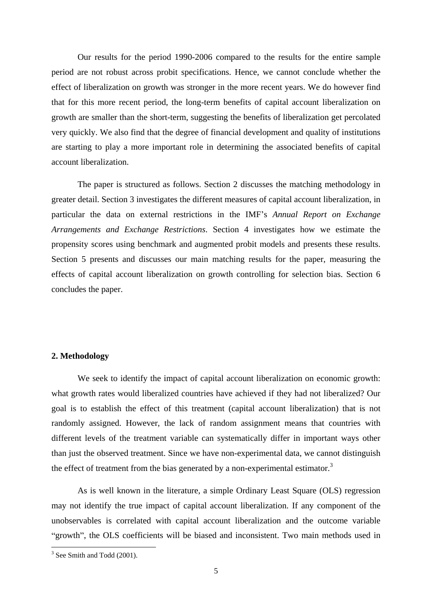Our results for the period 1990-2006 compared to the results for the entire sample period are not robust across probit specifications. Hence, we cannot conclude whether the effect of liberalization on growth was stronger in the more recent years. We do however find that for this more recent period, the long-term benefits of capital account liberalization on growth are smaller than the short-term, suggesting the benefits of liberalization get percolated very quickly. We also find that the degree of financial development and quality of institutions are starting to play a more important role in determining the associated benefits of capital account liberalization.

The paper is structured as follows. Section 2 discusses the matching methodology in greater detail. Section 3 investigates the different measures of capital account liberalization, in particular the data on external restrictions in the IMF s *Annual Report on Exchange Arrangements and Exchange Restrictions*. Section 4 investigates how we estimate the propensity scores using benchmark and augmented probit models and presents these results. Section 5 presents and discusses our main matching results for the paper, measuring the effects of capital account liberalization on growth controlling for selection bias. Section 6 concludes the paper.

#### **2. Methodology**

We seek to identify the impact of capital account liberalization on economic growth: what growth rates would liberalized countries have achieved if they had not liberalized? Our goal is to establish the effect of this treatment (capital account liberalization) that is not randomly assigned. However, the lack of random assignment means that countries with different levels of the treatment variable can systematically differ in important ways other than just the observed treatment. Since we have non-experimental data, we cannot distinguish the effect of treatment from the bias generated by a non-experimental estimator.<sup>3</sup>

As is well known in the literature, a simple Ordinary Least Square (OLS) regression may not identify the true impact of capital account liberalization. If any component of the unobservables is correlated with capital account liberalization and the outcome variable "growth", the OLS coefficients will be biased and inconsistent. Two main methods used in

j

 $3$  See Smith and Todd (2001).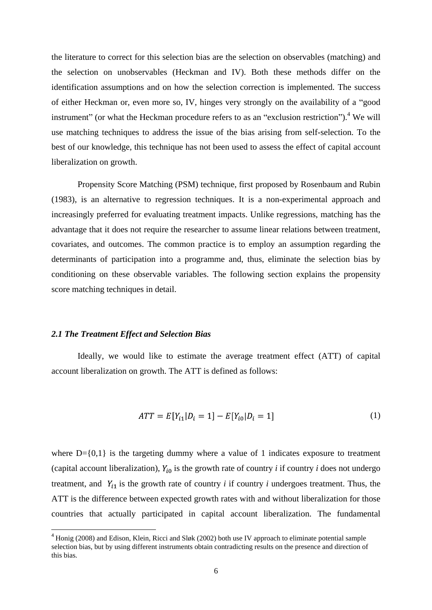the literature to correct for this selection bias are the selection on observables (matching) and the selection on unobservables (Heckman and IV). Both these methods differ on the identification assumptions and on how the selection correction is implemented. The success of either Heckman or, even more so, IV, hinges very strongly on the availability of a "good instrument" (or what the Heckman procedure refers to as an "exclusion restriction").<sup>4</sup> We will use matching techniques to address the issue of the bias arising from self-selection. To the best of our knowledge, this technique has not been used to assess the effect of capital account liberalization on growth.

Propensity Score Matching (PSM) technique, first proposed by Rosenbaum and Rubin (1983), is an alternative to regression techniques. It is a non-experimental approach and increasingly preferred for evaluating treatment impacts. Unlike regressions, matching has the advantage that it does not require the researcher to assume linear relations between treatment, covariates, and outcomes. The common practice is to employ an assumption regarding the determinants of participation into a programme and, thus, eliminate the selection bias by conditioning on these observable variables. The following section explains the propensity score matching techniques in detail.

#### *2.1 The Treatment Effect and Selection Bias*

Ideally, we would like to estimate the average treatment effect (ATT) of capital account liberalization on growth. The ATT is defined as follows:

$$
ATT = E[Y_{i1} | D_i = 1] - E[Y_{i0} | D_i = 1]
$$
\n(1)

where  $D = \{0,1\}$  is the targeting dummy where a value of 1 indicates exposure to treatment (capital account liberalization),  $Y_{i0}$  is the growth rate of country *i* if country *i* does not undergo treatment, and  $Y_{i1}$  is the growth rate of country *i* if country *i* undergoes treatment. Thus, the ATT is the difference between expected growth rates with and without liberalization for those countries that actually participated in capital account liberalization. The fundamental

<sup>&</sup>lt;sup>4</sup> Honig (2008) and Edison, Klein, Ricci and Sløk (2002) both use IV approach to eliminate potential sample selection bias, but by using different instruments obtain contradicting results on the presence and direction of this bias.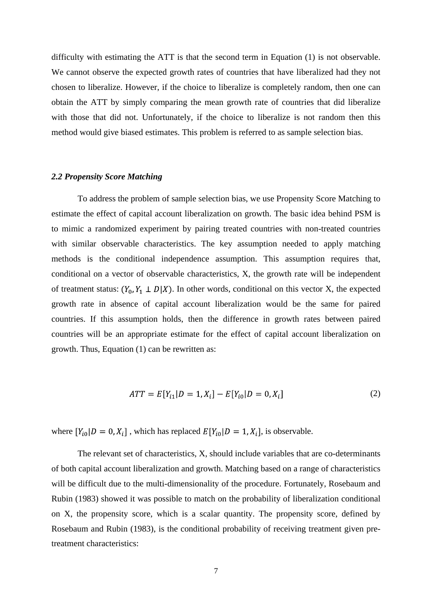difficulty with estimating the ATT is that the second term in Equation (1) is not observable. We cannot observe the expected growth rates of countries that have liberalized had they not chosen to liberalize. However, if the choice to liberalize is completely random, then one can obtain the ATT by simply comparing the mean growth rate of countries that did liberalize with those that did not. Unfortunately, if the choice to liberalize is not random then this method would give biased estimates. This problem is referred to as sample selection bias.

#### *2.2 Propensity Score Matching*

To address the problem of sample selection bias, we use Propensity Score Matching to estimate the effect of capital account liberalization on growth. The basic idea behind PSM is to mimic a randomized experiment by pairing treated countries with non-treated countries with similar observable characteristics. The key assumption needed to apply matching methods is the conditional independence assumption. This assumption requires that, conditional on a vector of observable characteristics, X, the growth rate will be independent of treatment status:  $(Y_0, Y_1 \perp D | X)$ . In other words, conditional on this vector X, the expected growth rate in absence of capital account liberalization would be the same for paired countries. If this assumption holds, then the difference in growth rates between paired countries will be an appropriate estimate for the effect of capital account liberalization on growth. Thus, Equation (1) can be rewritten as:

$$
ATT = E[Y_{i1} | D = 1, X_i] - E[Y_{i0} | D = 0, X_i]
$$
\n(2)

where  $[Y_{i0}|D = 0, X_i]$ , which has replaced  $E[Y_{i0}|D = 1, X_i]$ , is observable.

The relevant set of characteristics, X, should include variables that are co-determinants of both capital account liberalization and growth. Matching based on a range of characteristics will be difficult due to the multi-dimensionality of the procedure. Fortunately, Rosebaum and Rubin (1983) showed it was possible to match on the probability of liberalization conditional on X, the propensity score, which is a scalar quantity. The propensity score, defined by Rosebaum and Rubin (1983), is the conditional probability of receiving treatment given pretreatment characteristics: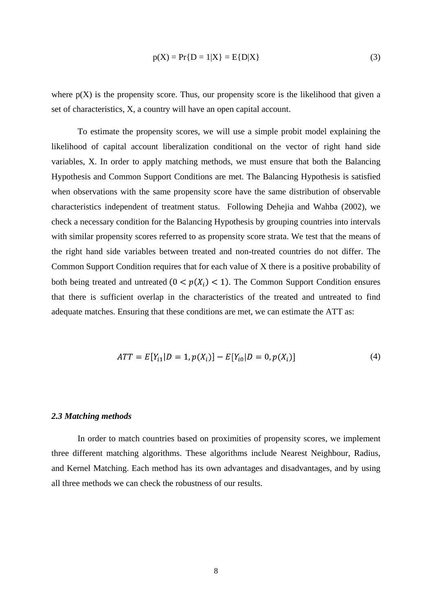$$
p(X) = Pr\{D = 1|X\} = E\{D|X\}
$$
 (3)

where  $p(X)$  is the propensity score. Thus, our propensity score is the likelihood that given a set of characteristics, X, a country will have an open capital account.

To estimate the propensity scores, we will use a simple probit model explaining the likelihood of capital account liberalization conditional on the vector of right hand side variables, X. In order to apply matching methods, we must ensure that both the Balancing Hypothesis and Common Support Conditions are met. The Balancing Hypothesis is satisfied when observations with the same propensity score have the same distribution of observable characteristics independent of treatment status. Following Dehejia and Wahba (2002), we check a necessary condition for the Balancing Hypothesis by grouping countries into intervals with similar propensity scores referred to as propensity score strata. We test that the means of the right hand side variables between treated and non-treated countries do not differ. The Common Support Condition requires that for each value of X there is a positive probability of both being treated and untreated  $(0 < p(X_i) < 1)$ . The Common Support Condition ensures that there is sufficient overlap in the characteristics of the treated and untreated to find adequate matches. Ensuring that these conditions are met, we can estimate the ATT as:

$$
ATT = E[Y_{i1}|D = 1, p(X_i)] - E[Y_{i0}|D = 0, p(X_i)]
$$
\n(4)

#### *2.3 Matching methods*

In order to match countries based on proximities of propensity scores, we implement three different matching algorithms. These algorithms include Nearest Neighbour, Radius, and Kernel Matching. Each method has its own advantages and disadvantages, and by using all three methods we can check the robustness of our results.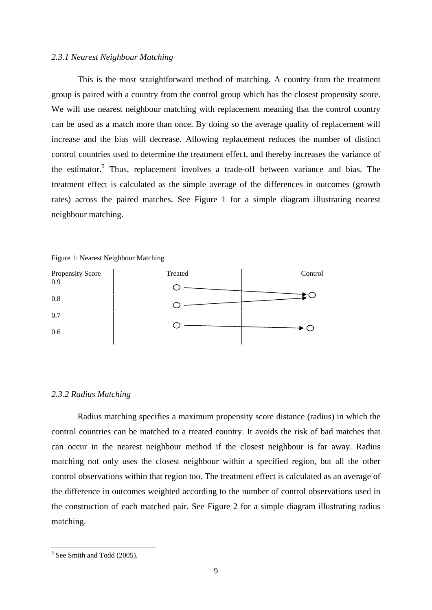#### *2.3.1 Nearest Neighbour Matching*

This is the most straightforward method of matching. A country from the treatment group is paired with a country from the control group which has the closest propensity score. We will use nearest neighbour matching with replacement meaning that the control country can be used as a match more than once. By doing so the average quality of replacement will increase and the bias will decrease. Allowing replacement reduces the number of distinct control countries used to determine the treatment effect, and thereby increases the variance of the estimator.<sup>5</sup> Thus, replacement involves a trade-off between variance and bias. The treatment effect is calculated as the simple average of the differences in outcomes (growth rates) across the paired matches. See Figure 1 for a simple diagram illustrating nearest neighbour matching.



Figure 1: Nearest Neighbour Matching

#### *2.3.2 Radius Matching*

Radius matching specifies a maximum propensity score distance (radius) in which the control countries can be matched to a treated country. It avoids the risk of bad matches that can occur in the nearest neighbour method if the closest neighbour is far away. Radius matching not only uses the closest neighbour within a specified region, but all the other control observations within that region too. The treatment effect is calculated as an average of the difference in outcomes weighted according to the number of control observations used in the construction of each matched pair. See Figure 2 for a simple diagram illustrating radius matching.

j

 $5$  See Smith and Todd (2005).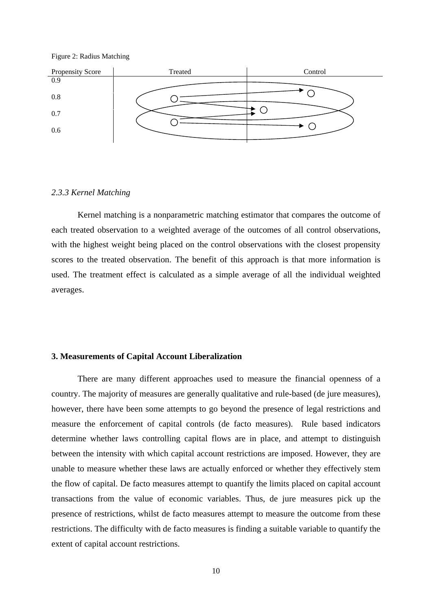



#### *2.3.3 Kernel Matching*

Kernel matching is a nonparametric matching estimator that compares the outcome of each treated observation to a weighted average of the outcomes of all control observations, with the highest weight being placed on the control observations with the closest propensity scores to the treated observation. The benefit of this approach is that more information is used. The treatment effect is calculated as a simple average of all the individual weighted averages.

#### **3. Measurements of Capital Account Liberalization**

There are many different approaches used to measure the financial openness of a country. The majority of measures are generally qualitative and rule-based (de jure measures), however, there have been some attempts to go beyond the presence of legal restrictions and measure the enforcement of capital controls (de facto measures). Rule based indicators determine whether laws controlling capital flows are in place, and attempt to distinguish between the intensity with which capital account restrictions are imposed. However, they are unable to measure whether these laws are actually enforced or whether they effectively stem the flow of capital. De facto measures attempt to quantify the limits placed on capital account transactions from the value of economic variables. Thus, de jure measures pick up the presence of restrictions, whilst de facto measures attempt to measure the outcome from these restrictions. The difficulty with de facto measures is finding a suitable variable to quantify the extent of capital account restrictions.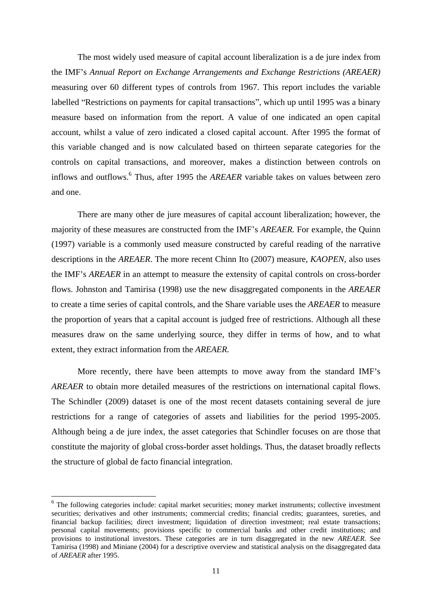The most widely used measure of capital account liberalization is a de jure index from the IMF s *Annual Report on Exchange Arrangements and Exchange Restrictions (AREAER)* measuring over 60 different types of controls from 1967. This report includes the variable labelled "Restrictions on payments for capital transactions", which up until 1995 was a binary measure based on information from the report. A value of one indicated an open capital account, whilst a value of zero indicated a closed capital account. After 1995 the format of this variable changed and is now calculated based on thirteen separate categories for the controls on capital transactions, and moreover, makes a distinction between controls on inflows and outflows.<sup>6</sup> Thus, after 1995 the *AREAER* variable takes on values between zero

and one.<br>There are many other de jure measures of capital account liberalization; however, the majority of these measures are constructed from the IMF's *AREAER*. For example, the Quinn (1997) variable is a commonly used measure constructed by careful reading of the narrative descriptions in the *AREAER*. The more recent Chinn Ito (2007) measure, *KAOPEN*, also uses the IMF's *AREAER* in an attempt to measure the extensity of capital controls on cross-border flows. Johnston and Tamirisa (1998) use the new disaggregated components in the *AREAER* to create a time series of capital controls, and the Share variable uses the *AREAER* to measure the proportion of years that a capital account is judged free of restrictions. Although all these measures draw on the same underlying source, they differ in terms of how, and to what extent, they extract information from the *AREAER.*

More recently, there have been attempts to move away from the standard IMF's *AREAER* to obtain more detailed measures of the restrictions on international capital flows. The Schindler (2009) dataset is one of the most recent datasets containing several de jure restrictions for <sup>a</sup> range of categories of assets and liabilities for the period 1995-2005. Although being <sup>a</sup> de jure index, the asset categories that Schindler focuses on are those that constitute the majority of global cross-border asset holdings. Thus, the dataset broadly reflects the structure of global de facto financial integration.

j

<sup>&</sup>lt;sup>6</sup> The following categories include: capital market securities; money market instruments; collective investment securities; derivatives and other instruments; commercial credits; financial credits; guarantees, sureties, and financial backup facilities; direct investment; liquidation of direction investment; real estate transactions; personal capital movements; provisions specific to commercial banks and other credit institutions; and provisions to institutional investors. These categories are in turn disaggregated in the new *AREAER.* See Tamirisa (1998) and Miniane (2004) for a descriptive overview and statistical analysis on the disaggregated data of *AREAER* after 1995.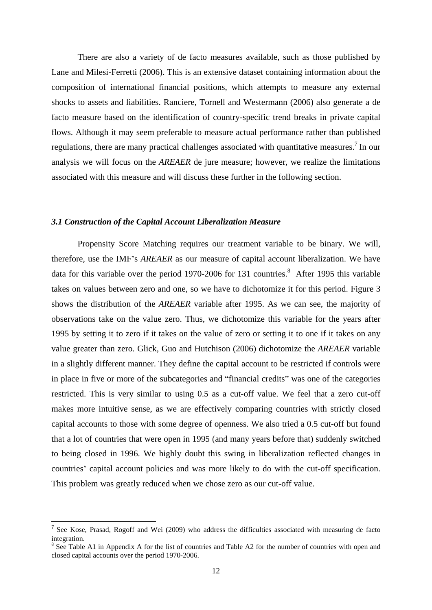There are also a variety of de facto measures available, such as those published by Lane and Milesi-Ferretti (2006). This is an extensive dataset containing information about the composition of international financial positions, which attempts to measure any external shocks to assets and liabilities. Ranciere, Tornell and Westermann (2006) also generate a de facto measure based on the identification of country-specific trend breaks in private capital flows. Although it may seem preferable to measure actual performance rather than published regulations, there are many practical challenges associated with quantitative measures.<sup>7</sup> In our In our analysis we will focus on the *AREAER* de jure measure; however, we realize the limitations associated with this measure and will discuss these further in the following section.

#### *3.1 Construction of the Capital Account Liberalization Measure*

Propensity Score Matching requires our treatment variable to be binary. We will, therefore, use the IMF's *AREAER* as our measure of capital account liberalization. We have data for this variable over the period 1970-2006 for 131 countries.<sup>8</sup> After 1995 this variable takes on values between zero and one, so we have to dichotomize it for this period. Figure 3 shows the distribution of the *AREAER* variable after 1995. As we can see, the majority of observations take on the value zero. Thus, we dichotomize this variable forthe years after 1995 by setting it to zero if it takes on the value of zero or setting it to one if it takes on any value greater than zero. Glick, Guo and Hutchison (2006) dichotomize the *AREAER* variable in a slightly different manner. They define the capital account to be restricted if controls were in place in five or more of the subcategories and "financial credits" was one of the categories restricted. This is very similar to using 0.5 as a cut-off value. We feel that a zero cut-off makes more intuitive sense, as we are effectively comparing countries with strictly closed capital accounts to those with some degree of openness. We also tried a 0.5 cut-off but found that a lot of countries that were open in 1995 (and many years before that) suddenly switched to being closed in 1996. We highly doubt this swing in liberalization reflected changes in countries' capital account policies and was more likely to do with the cut-off specification. This problem was greatly reduced when we chose zero as our cut-off value.

<sup>&</sup>lt;sup>7</sup> See Kose, Prasad, Rogoff and Wei (2009) who address the difficulties associated with measuring de facto integration.<br><sup>8</sup> See Table A1 in Appendix A for the list of countries and Table A2 for the number of countries with open and

closed capital accounts over the period 1970-2006.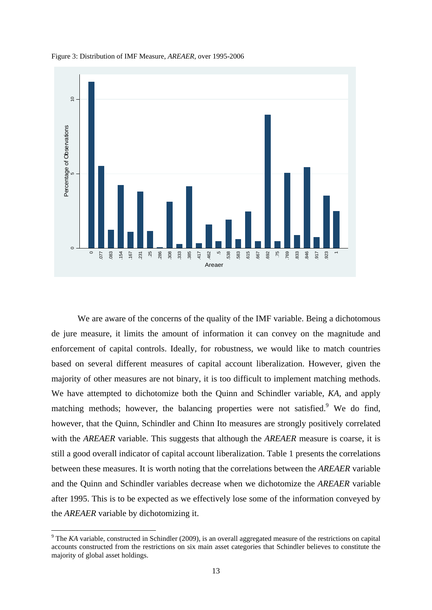

Figure 3: Distribution of IMF Measure, *AREAER*, over 1995-2006

We are aware of the concerns of the quality of the IMF variable. Being a dichotomous de jure measure, it limits the amount of information it can convey on the magnitude and enforcement of capital controls. Ideally, for robustness, we would like to match countries based on several different measures of capital account liberalization. However, given the majority of other measures are not binary, it is too difficult to implement matching methods. We have attempted to dichotomize both the Quinn and Schindler variable, *KA*, and apply matching methods; however, the balancing properties were not satisfied.<sup>9</sup> We do find, however, that the Quinn, Schindler and Chinn Ito measures are strongly positively correlated with the *AREAER* variable. This suggests that although the *AREAER* measure is coarse, it is still a good overall indicator of capital account liberalization. Table 1 presents the correlations between these measures. It is worth noting that the correlations between the *AREAER* variable and the Quinn and Schindler variables decrease when we dichotomize the *AREAER* variable after 1995. This is to be expected as we effectively lose some of the information conveyed by the *AREAER* variable by dichotomizing it.<br><sup>9</sup> The *KA* variable, constructed in Schindler (2009), is an overall aggregated measure of the restrictions on capital **Example 18**<br> **Example 20**<br> **Example 20**<br> **Example 20**<br> **Example 20**<br> **Example 20**<br> **Example 20**<br> **Example 20**<br> **Example 20**<br> **Example 20**<br> **Example 20**<br> **Example 20**<br> **Example 20**<br> **Example 20**<br> **Example 20**<br> **Example 20** 

accounts constructed from the restrictions on six main asset categories that Schindler believes to constitute the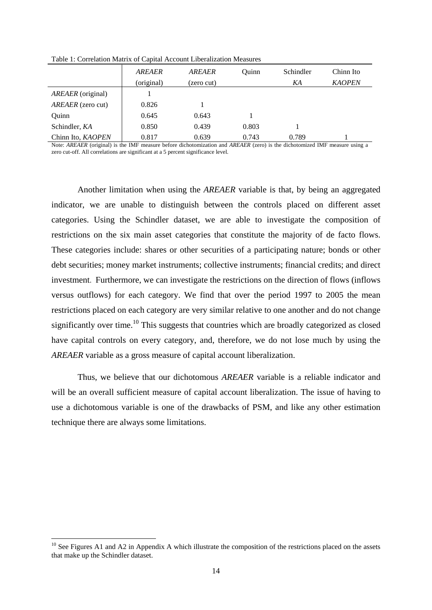|                   | <b>AREAER</b> | AREAER     | Ouinr | Schindler | Chinn Ito     |
|-------------------|---------------|------------|-------|-----------|---------------|
|                   | (original)    | (zero cut) |       | KA        | <b>KAOPEN</b> |
| AREAER (original) |               |            |       |           |               |
| AREAER (zero cut) | 0.826         |            |       |           |               |
| Quinn             | 0.645         | 0.643      |       |           |               |
| Schindler, KA     | 0.850         | 0.439      | 0.803 |           |               |
| Chinn Ito, KAOPEN | 0.817         | 0.639      | 0.743 | 0.789     |               |

Table 1: Correlation Matrix of Capital Account Liberalization Measures

Note: *AREAER* (original) is the IMF measure before dichotomization and *AREAER* (zero) is the dichotomized IMF measure using a zero cut-off. All correlations are significant at a 5 percent significance level.

Another limitation when using the *AREAER* variable is that, by being an aggregated indicator, we are unable to distinguish between the controls placed on different asset categories. Using the Schindler dataset, we are able to investigate the composition of restrictions on the six main asset categories that constitute the majority of de facto flows.<br>These categories include: shares or other securities of a participating nature; bonds or other debt securities; money market instruments; collective instruments; financial credits; and direct investment. Furthermore, we can investigate the restrictions on the direction of flows (inflows versus outflows) for each category. We find that over the period 1997 to 2005 the mean restrictions placed on each category are very similar relative to one another and do not change significantly over time.<sup>10</sup> This suggests that countries which are broadly categorized as closed have capital controls on every category, and, therefore, we do not lose much by using the *AREAER* variable as a gross measure of capital account liberalization.

Thus, we believe that our dichotomous *AREAER* variable is a reliable indicator and will be an overall sufficient measure of capital account liberalization. The issue of having to use a dichotomous variable is one of the drawbacks of PSM, and like any other estimation technique there are always some limitations.

j

 $10$  See Figures A1 and A2 in Appendix A which illustrate the composition of the restrictions placed on the assets that make up the Schindler dataset.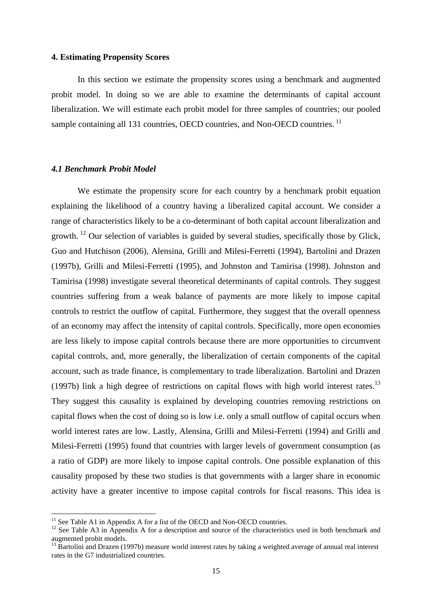#### **4. Estimating Propensity Scores**

In this section we estimate the propensity scores using a benchmark and augmented probit model. In doing so we are able to examine the determinants of capital account liberalization. We will estimate each probit model for three samples of countries; our pooled sample containing all 131 countries, OECD countries, and Non-OECD countries.<sup>11</sup>

#### *4.1 Benchmark Probit Model*

We estimate the propensity score for each country by a benchmark probit equation explaining the likelihood of a country having a liberalized capital account. We consider a range of characteristics likely to be a co-determinant of both capital account liberalization and growth. <sup>12</sup> Our selection of variables is guided by several studies, specifically those by Glick, Guo and Hutchison (2006), Alensina, Grilli and Milesi-Ferretti (1994), Bartolini and Drazen (1997b), Grilli and Milesi-Ferretti (1995), and Johnston and Tamirisa (1998). Johnston and Tamirisa (1998) investigate several theoretical determinants of capital controls. They suggest countries suffering from a weak balance of payments are more likely to impose capital controls to restrict the outflow of capital. Furthermore, they suggest that the overall openness of an economy may affect the intensity of capital controls. Specifically, more open economies are less likely to impose capital controls because there are more opportunities to circumvent capital controls, and, more generally, the liberalization of certain components of the capital account, such as trade finance, is complementary to trade liberalization. Bartolini and Drazen (1997b) link a high degree of restrictions on capital flows with high world interest rates.<sup>13</sup> They suggest this causality is explained by developing countries removing restrictions on capital flows when the cost of doing so is low i.e. only a small outflow of capital occurs when world interest rates are low. Lastly, Alensina, Grilli and Milesi-Ferretti (1994) and Grilli and Milesi-Ferretti (1995) found that countries with larger levels of government consumption (as a ratio of GDP) are more likely to impose capital controls. One possible explanation of this causality proposed by these two studies is that governments with a larger share in economic activity have a greater incentive to impose capital controls for fiscal reasons. This idea is<br>
<sup>11</sup> See Table A1 in Appendix A for a list of the OECD and Non-OECD countries.<br>
<sup>12</sup> See Table A3 in Appendix A for a descripti

augmented probit models.<br><sup>13</sup> Bartolini and Drazen (1997b) measure world interest rates by taking a weighted average of annual real interest

rates in the G7 industrialized countries.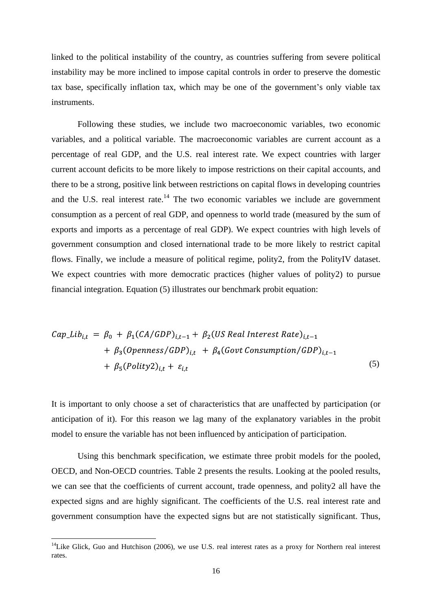linked to the political instability of the country, as countries suffering from severe political instability may be more inclined to impose capital controls in order to preserve the domestic tax base, specifically inflation tax, which may be one of the government's only viable tax instruments.

Following these studies, we include two macroeconomic variables, two economic variables, and a political variable. The macroeconomic variables are current account as a percentage of real GDP, and the U.S. real interest rate. We expect countries with larger current account deficits to be more likely to impose restrictions on their capital accounts, and there to be a strong, positive link between restrictions on capital flows in developing countries and the U.S. real interest rate. $14$  The two economic variables we include are government consumption as a percent of real GDP, and openness to world trade (measured by the sum of exports and imports as a percentage of real GDP). We expect countries with high levels of government consumption and closed international trade to be more likely to restrict capital flows. Finally, we include a measure of political regime, polity2, from the PolityIV dataset. We expect countries with more democratic practices (higher values of polity2) to pursue financial integration. Equation (5) illustrates our benchmark probit equation:

$$
Cap_Lib_{i,t} = \beta_0 + \beta_1 (CA/GDP)_{i,t-1} + \beta_2 (US Real Interest Rate)_{i,t-1} + \beta_3 (Openness/GDP)_{i,t} + \beta_4 (Govt Consumption/GDP)_{i,t-1} + \beta_5 (Polity2)_{i,t} + \varepsilon_{i,t}
$$
\n(5)

It is important to only choose a set of characteristics that are unaffected by participation (or anticipation of it). For this reason we lag many of the explanatory variables in the probit model to ensure the variable has not been influenced by anticipation of participation.

Using this benchmark specification, we estimate three probit models for the pooled, OECD, and Non-OECD countries. Table 2 presents the results. Looking at the pooled results, we can see that the coefficients of current account, trade openness, and polity2 all have the expected signs and are highly significant. The coefficients of the U.S. real interest rate and government consumption have the expected signs but are not statistically significant. Thus,<br><sup>14</sup>Like Glick, Guo and Hutchison (2006), we use U.S. real interest rates as a proxy for Northern real interest

rates.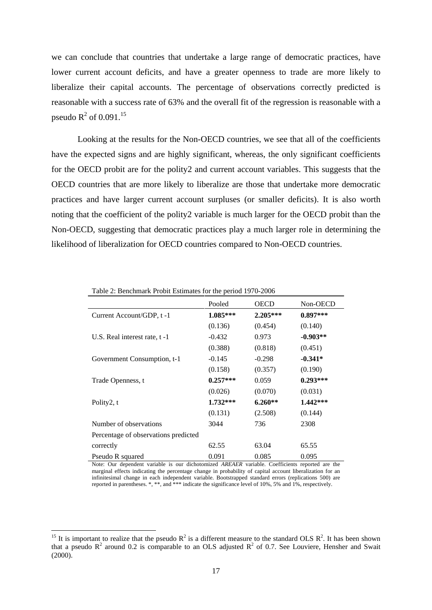we can conclude that countries that undertake a large range of democratic practices, have lower current account deficits, and have a greater openness to trade are more likely to liberalize their capital accounts. The percentage of observations correctly predicted is reasonable with a success rate of 63% and the overall fit of the regression is reasonable with a pseudo  $R^2$  of 0.091.<sup>15</sup> of  $0.091$ <sup>15</sup>

Looking at the results for the Non-OECD countries, we see that all of the coefficients have the expected signs and are highly significant, whereas, the only significant coefficients for the OECD probit are for the polity2 and current account variables. This suggests that the OECD countries that are more likely to liberalize are those that undertake more democratic practices and have larger current account surpluses (or smaller deficits). It is also worth noting that the coefficient of the polity2 variable is much larger for the OECD probit than the Non-OECD, suggesting that democratic practices play a much larger role in determining the likelihood of liberalization for OECD countries compared to Non-OECD countries.

|                                      | Pooled     | <b>OECD</b> | Non-OECD   |
|--------------------------------------|------------|-------------|------------|
| Current Account/GDP, t-1             | $1.085***$ | $2.205***$  | $0.897***$ |
|                                      | (0.136)    | (0.454)     | (0.140)    |
| U.S. Real interest rate, t-1         | $-0.432$   | 0.973       | $-0.903**$ |
|                                      | (0.388)    | (0.818)     | (0.451)    |
| Government Consumption, t-1          | $-0.145$   | $-0.298$    | $-0.341*$  |
|                                      | (0.158)    | (0.357)     | (0.190)    |
| Trade Openness, t                    | $0.257***$ | 0.059       | $0.293***$ |
|                                      | (0.026)    | (0.070)     | (0.031)    |
| Polity2, t                           | $1.732***$ | $6.260**$   | $1.442***$ |
|                                      | (0.131)    | (2.508)     | (0.144)    |
| Number of observations               | 3044       | 736         | 2308       |
| Percentage of observations predicted |            |             |            |
| correctly                            | 62.55      | 63.04       | 65.55      |
| Pseudo R squared                     | 0.091      | 0.085       | 0.095      |

Table 2: Benchmark Probit Estimates for the period 1970-2006

Note: Our dependent variable is our dichotomized *AREAER* variable. Coefficients reported are the marginal effects indicating the percentage change in probability of capital account liberalization for an infinitesimal change in each independent variable. Bootstrapped standard errors (replications 500) are reported in parentheses.  $*$ ,  $**$ , and  $**$  indicate the significance level of 10%, 5% and 1%, respectively.

j

<sup>&</sup>lt;sup>15</sup> It is important to realize that the pseudo  $R^2$  is a different measure to the standard OLS  $R^2$ . It has been shown  $\frac{2}{1}$  It has been shown . It has been shown that a pseudo  $R^2$  around 0.2 is comparable to an OLS adjusted  $R^2$  of 0.7. See Louviere, Hensher and Swait (2000).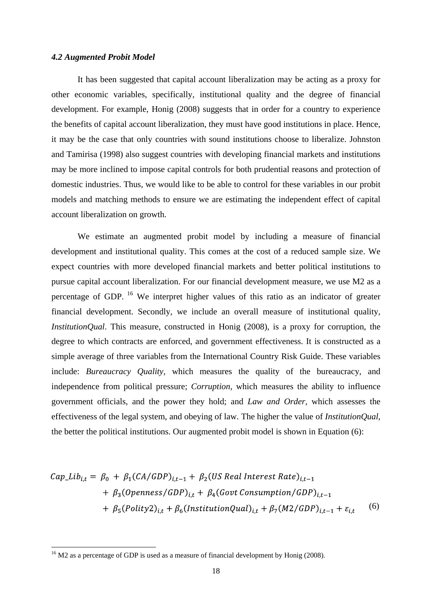#### *4.2 Augmented Probit Model*

It has been suggested that capital account liberalization may be acting as a proxy for other economic variables, specifically, institutional quality and the degree of financial development. For example, Honig (2008) suggests that in order for a country to experience the benefits of capital account liberalization, they must have good institutions in place. Hence, it may be the case that only countries with sound institutions choose to liberalize. Johnston and Tamirisa (1998) also suggest countries with developing financial markets and institutions may be more inclined to impose capital controls for both prudential reasons and protection of domestic industries. Thus, we would like to be able to control for these variables in our probit models and matching methods to ensure we are estimating the independent effect of capital account liberalization on growth.

We estimate an augmented probit model by including a measure of financial development and institutional quality. This comes at the cost of a reduced sample size. We expect countries with more developed financial markets and better political institutions to pursue capital account liberalization. For our financial development measure, we use M2 as a percentage of GDP. <sup>16</sup> We interpret higher values of this ratio as an indicator of greater financial development. Secondly, we include an overall measure of institutional quality, *InstitutionQual*. This measure, constructed in Honig (2008), is a proxy for corruption, the degree to which contracts are enforced, and government effectiveness. It is constructed as a simple average of three variables from the International Country Risk Guide. These variables include: *Bureaucracy Quality,* which measures the quality of the bureaucracy, and independence from political pressure; *Corruption,* which measures the ability to influence government officials, and the power they hold; and *Law and Order,* which assesses the effectiveness of the legal system, and obeying of law*.* The higher the value of *InstitutionQual,* the better the political institutions. Our augmented probit model is shown in Equation (6):

$$
Cap_Lib_{i,t} = \beta_0 + \beta_1 (CA/GDP)_{i,t-1} + \beta_2 (US Real Interest Rate)_{i,t-1}
$$
  
+  $\beta_3 (Openness/GDP)_{i,t} + \beta_4 (Govt Consumption/GDP)_{i,t-1}$   
+  $\beta_5 (Polity2)_{i,t} + \beta_6 (InstitutionQual)_{i,t} + \beta_7 (M2/GDP)_{i,t-1} + \varepsilon_{i,t}$  (6)

j

<sup>&</sup>lt;sup>16</sup> M2 as a percentage of GDP is used as a measure of financial development by Honig (2008).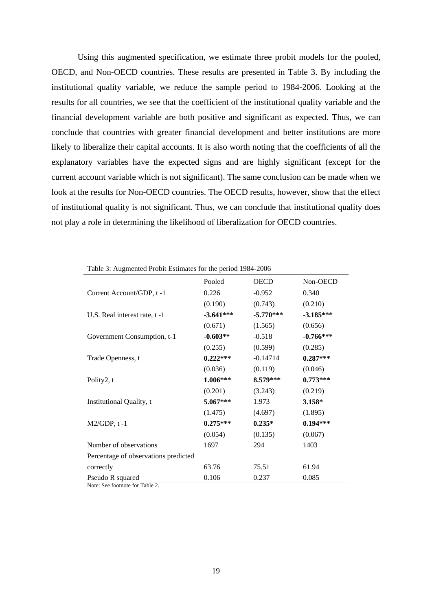Using this augmented specification, we estimate three probit models for the pooled, OECD, and Non-OECD countries. These results are presented in Table 3. By including the institutional quality variable, we reduce the sample period to 1984-2006. Looking at the results for all countries, we see that the coefficient of the institutional quality variable and the financial development variable are both positive and significant as expected. Thus, we can conclude that countries with greater financial development and better institutions are more likely to liberalize their capital accounts. It is also worth noting that the coefficients of all the explanatory variables have the expected signs and are highly significant (except for the current account variable which is not significant). The same conclusion can be made when we look at the results for Non-OECD countries. The OECD results, however, show that the effect of institutional quality is not significant.Thus, we can conclude that institutional quality does not play a role in determining the likelihood of liberalization for OECD countries.

|                                      | Pooled      | OECD        | ____<br>Non-OECD |
|--------------------------------------|-------------|-------------|------------------|
| Current Account/GDP, t-1             | 0.226       | $-0.952$    | 0.340            |
|                                      | (0.190)     | (0.743)     | (0.210)          |
| U.S. Real interest rate, t-1         | $-3.641***$ | $-5.770***$ | $-3.185***$      |
|                                      |             |             |                  |
|                                      | (0.671)     | (1.565)     | (0.656)          |
| Government Consumption, t-1          | $-0.603**$  | $-0.518$    | $-0.766***$      |
|                                      | (0.255)     | (0.599)     | (0.285)          |
| Trade Openness, t                    | $0.222***$  | $-0.14714$  | $0.287***$       |
|                                      | (0.036)     | (0.119)     | (0.046)          |
| Polity2, t                           | $1.006***$  | 8.579***    | $0.773***$       |
|                                      | (0.201)     | (3.243)     | (0.219)          |
| Institutional Quality, t             | $5.067***$  | 1.973       | $3.158*$         |
|                                      | (1.475)     | (4.697)     | (1.895)          |
| $M2/GDP, t-1$                        | $0.275***$  | $0.235*$    | $0.194***$       |
|                                      | (0.054)     | (0.135)     | (0.067)          |
|                                      |             |             |                  |
| Number of observations               | 1697        | 294         | 1403             |
| Percentage of observations predicted |             |             |                  |
| correctly                            | 63.76       | 75.51       | 61.94            |
| Pseudo R squared                     | 0.106       | 0.237       | 0.085            |

Table 3: Augmented Probit Estimates for the period 1984-2006

Note: See footnote for Table 2.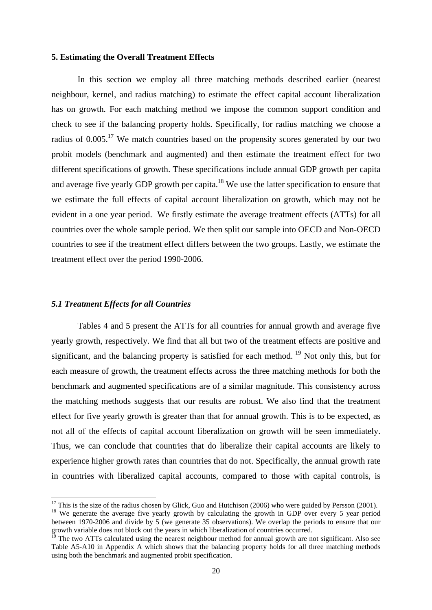#### **5. Estimating the Overall Treatment Effects**

In this section we employ all three matching methods described earlier (nearest neighbour, kernel, and radius matching) to estimate the effect capital account liberalization has on growth. For each matching method we impose the common support condition and check to see if the balancing property holds. Specifically, for radius matching we choose a radius of  $0.005$ <sup>17</sup>. We match countries based on the propensity scores generated by our two probit models (benchmark and augmented) and then estimate the treatment effect for two different specifications of growth. These specifications include annual GDP growth per capita and average five yearly GDP growth per capita.<sup>18</sup> We use the latter specification to ensure that we estimate the full effects of capital account liberalization on growth, which may not be evident in a one year period. We firstly estimate the average treatment effects (ATTs) for all countries over the whole sample period. We then split our sample into OECD and Non-OECD countries to see if the treatment effect differs between the two groups. Lastly, we estimate the treatment effect over the period 1990-2006.

#### *5.1 Treatment Effects for all Countries*

Tables 4 and 5 present the ATTs for all countries for annual growth and average five yearly growth, respectively. We find that all but two of the treatment effects are positive and significant, and the balancing property is satisfied for each method.  $19$  Not only this, but for each measure of growth, the treatment effects across the three matching methods for both the benchmark and augmented specifications are of a similar magnitude. This consistency across the matching methods suggests that our results are robust. We also find that the treatment effect for five yearly growth is greater than that for annual growth. This is to be expected, as not all of the effects of capital account liberalization on growth will be seen immediately. Thus, we can conclude that countries that do liberalize their capital accounts are likely to experience higher growth rates than countries that do not. Specifically, the annual growth rate in countries with liberalized capital accounts, compared to those with capital controls, is

 $17$  This is the size of the radius chosen by Glick, Guo and Hutchison (2006) who were guided by Persson (2001).

<sup>&</sup>lt;sup>18</sup> We generate the average five yearly growth by calculating the growth in GDP over every 5 year period between 1970-2006 and divide by 5 (we generate 35 observations). We overlap the periods to ensure that our growth variable does not block out the years in which liberalization of countries occurred.

 $\frac{19}{19}$  The two ATTs calculated using the nearest neighbour method for annual growth are not significant. Also see Table A5-A10 in Appendix A which shows that the balancing property holds for all three matching methods using both the benchmark and augmented probit specification.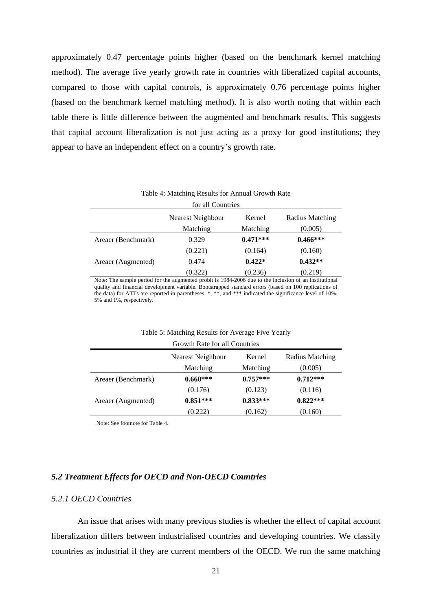approximately 0.47 percentage points higher (based on the benchmark kernel matching method). The average five yearly growth rate in countries with liberalized capital accounts, compared to those with capital controls, is approximately 0.76 percentage points higher (based on the benchmark kernel matching method). It is also worth noting that within each table there is little difference between the augmented and benchmark results. This suggests that capital account liberalization is not just acting as a proxy for good institutions; they appear to have an independent effect on a country's growth rate.

Table 4: Matching Results for Annual Growth Rate

|                    | for all Countries |            |                        |
|--------------------|-------------------|------------|------------------------|
|                    | Nearest Neighbour | Kernel     | <b>Radius Matching</b> |
|                    | Matching          | Matching   | (0.005)                |
| Areaer (Benchmark) | 0.329             | $0.471***$ | $0.466***$             |
|                    | (0.221)           | (0.164)    | (0.160)                |
| Areaer (Augmented) | 0.474             | $0.422*$   | $0.432**$              |
|                    | (0.322)           | (0.236)    | (0.219)                |

Note: The sample period for the augmented probit is 1984-2006 due to the inclusion of an institutional quality and financial development variable. Bootstrapped standard errors (based on 100 replications of the data) for ATTs are reported in parentheses. \*, \*\*, and \*\*\* indicated the significance level of 10%, 5% and 1%, respectively.

Table 5: Matching Results for Average Five Yearly

|                    | Growth Rate for all Countries |            |                        |
|--------------------|-------------------------------|------------|------------------------|
|                    | Nearest Neighbour             | Kernel     | <b>Radius Matching</b> |
|                    | Matching                      | Matching   | (0.005)                |
| Areaer (Benchmark) | $0.660***$                    | $0.757***$ | $0.712***$             |
|                    | (0.176)                       | (0.123)    | (0.116)                |
| Areaer (Augmented) | $0.851***$                    | $0.833***$ | $0.822***$             |
|                    | (0.222)                       | (0.162)    | (0.160)                |

Note: See footnote for Table 4.

### *5.2 Treatment Effects for OECD and Non-OECD Countries*

#### *5.2.1 OECD Countries*

An issue that arises with many previous studies is whether the effect of capital account liberalization differs between industrialised countries and developing countries. We classify countries as industrial if they are current members of the OECD. We run the same matching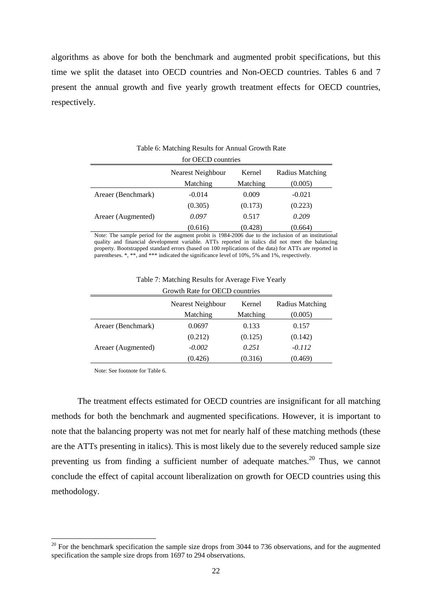algorithms as above for both the benchmark and augmented probit specifications, but this time we split the dataset into OECD countries and Non-OECD countries. Tables 6 and 7 present the annual growth and five yearly growth treatment effects for OECD countries, respectively.

|                    | for OECD countries |          |                        |
|--------------------|--------------------|----------|------------------------|
|                    | Nearest Neighbour  | Kernel   | <b>Radius Matching</b> |
|                    | Matching           | Matching | (0.005)                |
| Areaer (Benchmark) | $-0.014$           | 0.009    | $-0.021$               |
|                    | (0.305)            | (0.173)  | (0.223)                |
| Areaer (Augmented) | 0.097              | 0.517    | $0.209\,$              |
|                    | (0.616)            | (0.428)  | (0.664)                |

Table 6: Matching Results for Annual Growth Rate

Note: The sample period for the augment probit is 1984-2006 due to the inclusion of an institutional quality and financial development variable. ATTs reported in italics did not meet the balancing property. Bootstrapped standard errors (based on 100 replications of the data) for ATTs are reported in parentheses. \*, \*\*, and \*\*\* indicated the significance level of 10%, 5% and 1%, respectively.

|                    | Growth Rate for OECD countries |          |                        |
|--------------------|--------------------------------|----------|------------------------|
|                    | Nearest Neighbour              | Kernel   | <b>Radius Matching</b> |
|                    | Matching                       | Matching | (0.005)                |
| Areaer (Benchmark) | 0.0697                         | 0.133    | 0.157                  |
|                    | (0.212)                        | (0.125)  | (0.142)                |
| Areaer (Augmented) | $-0.002$                       | 0.251    | $-0.112$               |
|                    | (0.426)                        | (0.316)  | (0.469)                |

Table 7: Matching Results for Average Five Yearly

Note: See footnote for Table 6.

j

The treatment effects estimated for OECD countries are insignificant for all matching methods for both the benchmark and augmented specifications. However, it is important to note that the balancing property was not met for nearly half of these matching methods (these are the ATTs presenting in italics). This is most likely due to the severely reduced sample size preventing us from finding a sufficient number of adequate matches.<sup>20</sup> Thus, we cannot conclude the effect of capital account liberalization on growth for OECD countries using this methodology.

 $20$  For the benchmark specification the sample size drops from 3044 to 736 observations, and for the augmented specification the sample size drops from 1697 to 294 observations.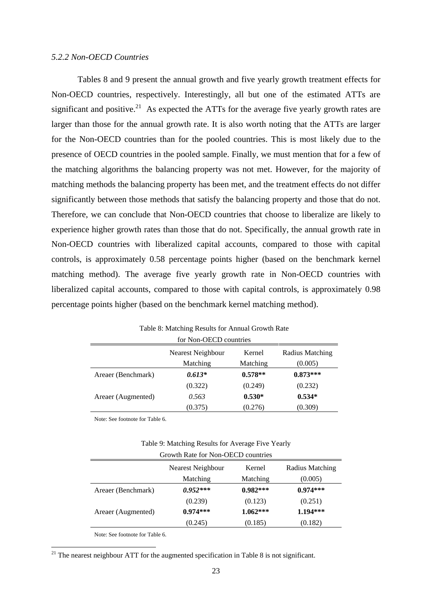#### *5.2.2 Non-OECD Countries*

Tables 8 and 9 present the annual growth and five yearly growth treatment effects for Non-OECD countries, respectively. Interestingly, all but one of the estimated ATTs are significant and positive.<sup>21</sup> As expected the ATTs for the average five yearly growth rates are larger than those for the annual growth rate. It is also worth noting that the ATTs are larger for the Non-OECD countries than for the pooled countries. This is most likely due to the presence of OECD countries in the pooled sample. Finally, we must mention that for a few of the matching algorithms the balancing property was not met. However, for the majority of matching methods the balancing property has been met, and the treatment effects do not differ significantly between those methods that satisfy the balancing property and those that do not. Therefore, we can conclude that Non-OECD countries that choose to liberalize are likely to experience higher growth rates than those that do not. Specifically, the annual growth rate in Non-OECD countries with liberalized capital accounts, compared to those with capital controls, is approximately 0.58 percentage points higher (based on the benchmark kernel matching method). The average five yearly growth rate in Non-OECD countries with liberalized capital accounts, compared to those with capital controls, is approximately 0.98 percentage points higher (based on the benchmark kernel matching method).

|                    | for Non-OECD countries |           |                        |
|--------------------|------------------------|-----------|------------------------|
|                    | Nearest Neighbour      | Kernel    | <b>Radius Matching</b> |
|                    | Matching               | Matching  | (0.005)                |
| Areaer (Benchmark) | $0.613*$               | $0.578**$ | $0.873***$             |
|                    | (0.322)                | (0.249)   | (0.232)                |
| Areaer (Augmented) | 0.563                  | $0.530*$  | $0.534*$               |
|                    | (0.375)                | (0.276)   | (0.309)                |

Table 8: Matching Results for Annual Growth Rate

Note: See footnote for Table 6.

| <b>Average Five Yearly</b><br>Table 9: Matching Results for |  |
|-------------------------------------------------------------|--|
|                                                             |  |

|                    | Growth Rate for Non-OECD countries |            |                        |
|--------------------|------------------------------------|------------|------------------------|
|                    | <b>Nearest Neighbour</b>           | Kernel     | <b>Radius Matching</b> |
|                    | Matching                           | Matching   | (0.005)                |
| Areaer (Benchmark) | $0.952***$                         | $0.982***$ | $0.974***$             |
|                    | (0.239)                            | (0.123)    | (0.251)                |
| Areaer (Augmented) | $0.974***$                         | $1.062***$ | $1.194***$             |
|                    | (0.245)                            | (0.185)    | (0.182)                |

Note: See footnote for Table 6.

j

 $21$  The nearest neighbour ATT for the augmented specification in Table 8 is not significant.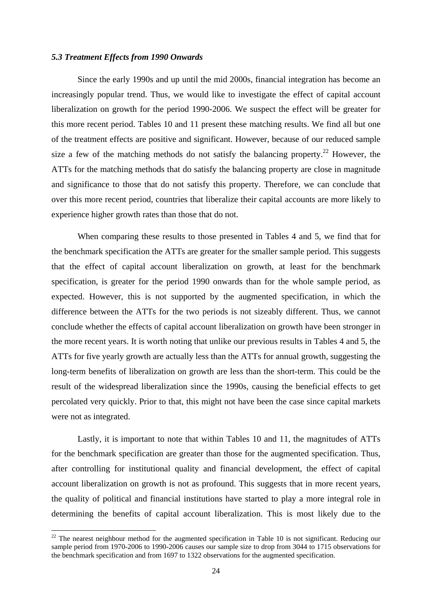#### *5.3 Treatment Effects from 1990 Onwards*

Since the early 1990s and up until the mid 2000s, financial integration has become an increasingly popular trend. Thus, we would like to investigate the effect of capital account liberalization on growth for the period 1990-2006. We suspect the effect will be greater for this more recent period. Tables 10 and 11 present these matching results. We find all but one of the treatment effects are positive and significant. However, because of our reduced sample size a few of the matching methods do not satisfy the balancing property.<sup>22</sup> However, the ATTs for the matching methods that do satisfy the balancing property are close in magnitude and significance to those that do not satisfy this property. Therefore, we can conclude that over this more recent period, countries that liberalize their capital accounts are more likely to experience higher growth rates than those that do not.

When comparing these results to those presented in Tables 4 and 5, we find that for the benchmark specification the ATTs are greater for the smaller sample period. This suggests that the effect of capital account liberalization on growth, at least for the benchmark specification, is greater for the period 1990 onwards than for the whole sample period, as expected. However, this is not supported by the augmented specification, in which the difference between the ATTs for the two periods is not sizeably different. Thus, we cannot conclude whether the effects of capital account liberalization on growth have been stronger in the more recent years. It is worth noting that unlike our previous results in Tables 4 and 5, the ATTs for five yearly growth are actually less than the ATTs for annual growth, suggesting the long-term benefits of liberalization on growth are less than the short-term. This could be the result of the widespread liberalization since the 1990s, causing the beneficial effects to get percolated very quickly. Prior to that, this might not have been the case since capital markets were not as integrated.

Lastly, it is important to note that within Tables 10 and 11, the magnitudes of ATTs for the benchmark specification are greater than those for the augmented specification. Thus, after controlling for institutional quality and financial development, the effect of capital account liberalization on growth is not as profound. This suggests that in more recent years, the quality of political and financial institutions have started to play a more integral role in determining the benefits of capital account liberalization. This is most likely due to the

j

<sup>&</sup>lt;sup>22</sup> The nearest neighbour method for the augmented specification in Table 10 is not significant. Reducing our sample period from 1970-2006 to 1990-2006 causes our sample size to drop from 3044 to 1715 observations for the benchmark specification and from 1697 to 1322 observations for the augmented specification.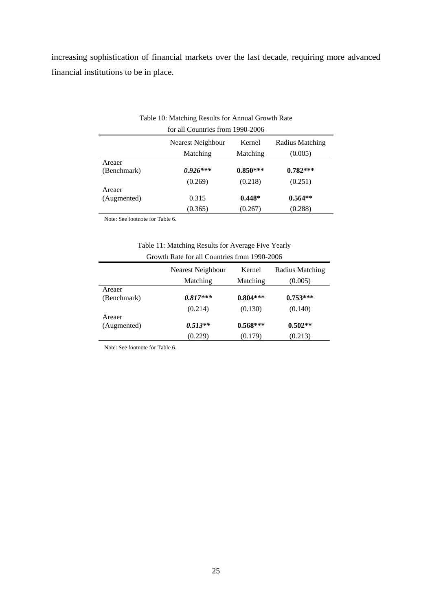increasing sophistication of financial markets over the last decade, requiring more advanced financial institutions to be in place.

|             | for all Countries from 1990-2006 |            |                        |  |
|-------------|----------------------------------|------------|------------------------|--|
|             | Nearest Neighbour                | Kernel     | <b>Radius Matching</b> |  |
|             | Matching                         | Matching   | (0.005)                |  |
| Areaer      |                                  |            |                        |  |
| (Benchmark) | $0.926***$                       | $0.850***$ | $0.782***$             |  |
|             | (0.269)                          | (0.218)    | (0.251)                |  |
| Areaer      |                                  |            |                        |  |
| (Augmented) | 0.315                            | $0.448*$   | $0.564**$              |  |
|             | (0.365)                          | (0.267)    | (0.288)                |  |

# Table 10: Matching Results for Annual Growth Rate

Note: See footnote for Table 6.

# Table 11: Matching Results for Average Five Yearly Growth Rate for all Countries from 1990-2006

|             | $\sim$ 0.0 $\mu$ m $\sim$ 101 km $\sim$ 0.0 km $\mu$ 0.0 km $\mu$ 0.0 km $\sim$ 0.0 km $\sim$ 0.0 km $\sim$ |            |                        |
|-------------|-------------------------------------------------------------------------------------------------------------|------------|------------------------|
|             | Nearest Neighbour                                                                                           | Kernel     | <b>Radius Matching</b> |
|             | Matching                                                                                                    | Matching   | (0.005)                |
| Areaer      |                                                                                                             |            |                        |
| (Benchmark) | $0.817***$                                                                                                  | $0.804***$ | $0.753***$             |
|             | (0.214)                                                                                                     | (0.130)    | (0.140)                |
| Areaer      |                                                                                                             |            |                        |
| (Augmented) | $0.513**$                                                                                                   | $0.568***$ | $0.502**$              |
|             | (0.229)                                                                                                     | (0.179)    | (0.213)                |

Note: See footnote for Table 6.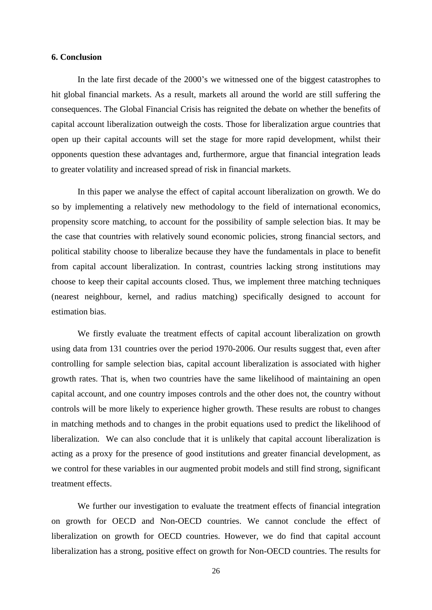#### **6. Conclusion**

In the late first decade of the 2000's we witnessed one of the biggest catastrophes to hit global financial markets. As a result, markets all around the world are still suffering the consequences. The Global Financial Crisis has reignited the debate on whether the benefits of capital account liberalization outweigh the costs. Those for liberalization argue countries that open up their capital accounts will set the stage for more rapid development, whilst their opponents question these advantages and, furthermore, argue that financial integration leads to greater volatility and increased spread of risk in financial markets.

In this paper we analyse the effect of capital account liberalization on growth. We do so by implementing a relatively new methodology to the field of international economics, propensity score matching, to account for the possibility of sample selection bias. It may be the case that countries with relatively sound economic policies, strong financial sectors, and political stability choose to liberalize because they have the fundamentals in place to benefit from capital account liberalization. In contrast, countries lacking strong institutions may choose to keep their capital accounts closed. Thus, we implement three matching techniques (nearest neighbour, kernel, and radius matching) specifically designed to account for estimation bias.

We firstly evaluate the treatment effects of capital account liberalization on growth using data from 131 countries over the period 1970-2006. Our results suggest that, even after controlling for sample selection bias, capital account liberalization is associated with higher growth rates. That is, when two countries have the same likelihood of maintaining an open capital account, and one country imposes controls and the other does not, the country without controls will be more likely to experience higher growth. These results are robust to changes in matching methods and to changes in the probit equations used to predict the likelihood of liberalization. We can also conclude that it is unlikely that capital account liberalization is acting as a proxy for the presence of good institutions and greater financial development, as we control for these variables in our augmented probit models and still find strong, significant treatment effects.

We further our investigation to evaluate the treatment effects of financial integration on growth for OECD and Non-OECD countries. We cannot conclude the effect of liberalization on growth for OECD countries. However, we do find that capital account liberalization has a strong, positive effect on growth for Non-OECD countries. The results for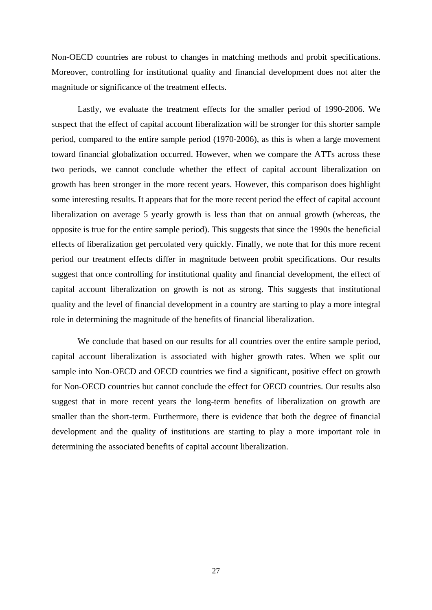Non-OECD countries are robust to changes in matching methods and probit specifications. Moreover, controlling for institutional quality and financial development does not alter the magnitude or significance of the treatment effects.

Lastly, we evaluate the treatment effects for the smaller period of 1990-2006. We suspect that the effect of capital account liberalization will be stronger for this shorter sample period, compared to the entire sample period (1970-2006), as this is when a large movement toward financial globalization occurred. However, when we compare the ATTs across these two periods, we cannot conclude whether the effect of capital account liberalization on growth has been stronger in the more recent years. However, this comparison does highlight some interesting results. It appears that for the more recent period the effect of capital account liberalization on average 5 yearly growth is less than that on annual growth (whereas, the opposite is true for the entire sample period). This suggests that since the 1990s the beneficial effects of liberalization get percolated very quickly. Finally, we note that for this more recent period our treatment effects differ in magnitude between probit specifications. Our results suggest that once controlling for institutional quality and financial development, the effect of capital account liberalization on growth is not as strong. This suggests that institutional quality and the level of financial development in a country are starting to play a more integral role in determining the magnitude of the benefits of financial liberalization.

We conclude that based on our results for all countries over the entire sample period, capital account liberalization is associated with higher growth rates. When we split our sample into Non-OECD and OECD countries we find a significant, positive effect on growth for Non-OECD countries but cannot conclude the effect for OECD countries. Our results also suggest that in more recent years the long-term benefits of liberalization on growth are smaller than the short-term. Furthermore, there is evidence that both the degree of financial development and the quality of institutions are starting to play a more important role in determining the associated benefits of capital account liberalization.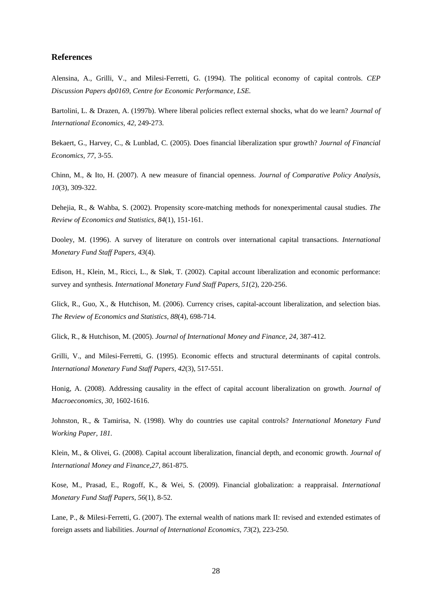#### **References**

Alensina, A., Grilli, V., and Milesi-Ferretti, G. (1994). The political economy of capital controls. *CEP Discussion Papers dp0169, Centre for Economic Performance, LSE.*

Bartolini, L. & Drazen, A. (1997b). Where liberal policies reflect external shocks, what do we learn? *Journal of International Economics, 42,* 249-273.

Bekaert, G., Harvey, C., & Lunblad, C. (2005). Does financial liberalization spurgrowth? *Journal of Financial Economics, 77,* 3-55.

Chinn, M., & Ito, H. (2007). A new measure of financial openness. *Journal of Comparative Policy Analysis, 10*(3), 309-322.

Dehejia, R., & Wahba, S. (2002). Propensity score-matching methods for nonexperimental causal studies. *The Review of Economics and Statistics, 84*(1), 151-161.

Dooley, M. (1996). A survey of literature on controls over international capital transactions. *International Monetary Fund Staff Papers, 43*(4).

Edison, H., Klein, M., Ricci, L., & Sløk, T. (2002). Capital account liberalization and economic performance: survey and synthesis. *International Monetary Fund Staff Papers, 51*(2), 220-256.

Glick, R., Guo, X., & Hutchison, M. (2006). Currency crises, capital-account liberalization, and selection bias. *The Review of Economics and Statistics, 88*(4), 698-714.

Glick, R., & Hutchison, M. (2005). *Journal of International Money and Finance, 24,* 387-412.

Grilli, V., and Milesi-Ferretti, G. (1995). Economic effects and structural determinants of capital controls. *International Monetary Fund Staff Papers, 42*(3), 517-551.

Honig, A. (2008). Addressing causality in the effect of capital account liberalization on growth. *Journal of Macroeconomics, 30,* 1602-1616.

Johnston, R., & Tamirisa, N. (1998). Why do countries use capital controls? *International Monetary Fund Working Paper, 181.*

Klein, M., & Olivei, G. (2008). Capital account liberalization, financial depth, and economic growth. *Journal of International Money and Finance,27,* 861-875.

Kose, M., Prasad, E., Rogoff, K., & Wei, S. (2009). Financial globalization: a reappraisal. *International Monetary Fund Staff Papers, 56*(1), 8-52.

Lane, P., & Milesi-Ferretti, G. (2007). The external wealth of nations mark II: revised and extended estimates of foreign assets and liabilities. *Journal of International Economics, 73*(2), 223-250.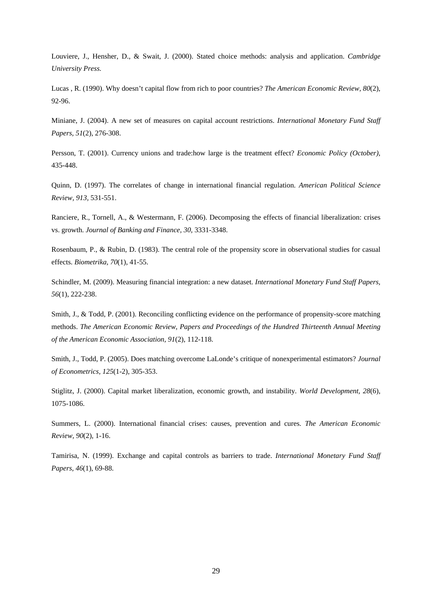Louviere, J., Hensher, D., & Swait, J. (2000). Stated choice methods: analysis and application. *Cambridge University Press.*

Lucas , R. (1990). Why doesn t capital flow from rich to poor countries? *The American Economic Review, 80*(2), 92-96.

Miniane, J. (2004). A new set of measures on capital account restrictions. *International Monetary Fund Staf Papers, 51*(2), 276-308.

Persson, T. (2001). Currency unions and trade:how large is the treatment effect? *Economic Policy (October),* 435-448.

Quinn, D. (1997). The correlates of change in international financial regulation. *American Political Science Review, 913,* 531-551.

Ranciere, R., Tornell, A., & Westermann, F. (2006). Decomposing the effects of financial liberalization: crises vs. growth. *Journal of Banking and Finance, 30,* 3331-3348.

Rosenbaum, P., & Rubin, D. (1983). The central role of the propensity score in observational studies for casual effects. *Biometrika, 70*(1), 41-55.

Schindler, M. (2009). Measuring financial integration: a new dataset. *International Monetary Fund Staff Papers, 56*(1), 222-238.

Smith, J., & Todd, P. (2001). Reconciling conflicting evidence on the performance of propensity-score matching methods. *The American Economic Review, Papers and Proceedings of the Hundred Thirteenth Annual Meeting of the American Economic Association, 91*(2), 112-118.

Smith, J., Todd, P. (2005). Does matching overcome LaLonde's critique of nonexperimental estimators? *Journal of Econometrics, 125*(1-2), 305-353.

Stiglitz, J. (2000). Capital market liberalization, economic growth, and instability. *World Development, 28*(6), 1075-1086.

Summers, L. (2000). International financial crises: causes, prevention and cures. *The American Economic Review, 90*(2), 1-16.

Tamirisa, N. (1999). Exchange and capital controls as barriers to trade. *International Monetary Fund Staf Papers, 46*(1), 69-88.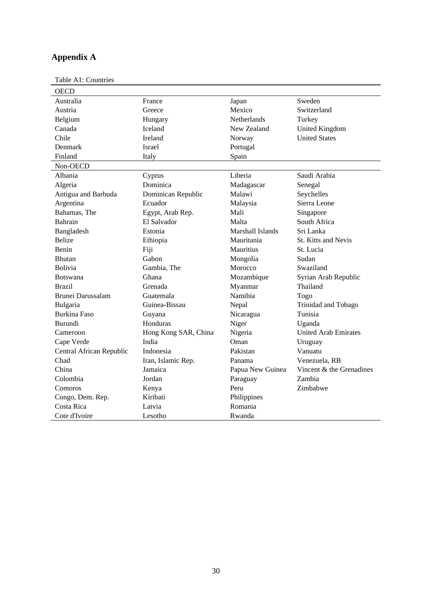# **Appendix A**

Table A1: Countries

| OECD                     |                      |                  |                             |
|--------------------------|----------------------|------------------|-----------------------------|
| Australia                | France               | Japan            | Sweden                      |
| Austria                  | Greece               | Mexico           | Switzerland                 |
| Belgium                  | Hungary              | Netherlands      | Turkey                      |
| Canada                   | Iceland              | New Zealand      | United Kingdom              |
| Chile                    | Ireland              | Norway           | <b>United States</b>        |
| Denmark                  | Israel               | Portugal         |                             |
| Finland                  | Italy                | Spain            |                             |
| Non-OECD                 |                      |                  |                             |
| Albania                  | Cyprus               | Liberia          | Saudi Arabia                |
| Algeria                  | Dominica             | Madagascar       | Senegal                     |
| Antigua and Barbuda      | Dominican Republic   | Malawi           | Seychelles                  |
| Argentina                | Ecuador              | Malaysia         | Sierra Leone                |
| Bahamas, The             | Egypt, Arab Rep.     | Mali             | Singapore                   |
| Bahrain                  | El Salvador          | Malta            | South Africa                |
| Bangladesh               | Estonia              | Marshall Islands | Sri Lanka                   |
| Belize                   | Ethiopia             | Mauritania       | St. Kitts and Nevis         |
| Benin                    | Fiji                 | Mauritius        | St. Lucia                   |
| Bhutan                   | Gabon                | Mongolia         | Sudan                       |
| Bolivia                  | Gambia, The          | Morocco          | Swaziland                   |
| Botswana                 | Ghana                | Mozambique       | Syrian Arab Republic        |
| Brazil                   | Grenada              | Myanmar          | Thailand                    |
| Brunei Darussalam        | Guatemala            | Namibia          | Togo                        |
| Bulgaria                 | Guinea-Bissau        | Nepal            | Trinidad and Tobago         |
| Burkina Faso             | Guyana               | Nicaragua        | Tunisia                     |
| Burundi                  | Honduras             | Niger            | Uganda                      |
| Cameroon                 | Hong Kong SAR, China | Nigeria          | <b>United Arab Emirates</b> |
| Cape Verde               | India                | Oman             | Uruguay                     |
| Central African Republic | Indonesia            | Pakistan         | Vanuatu                     |
| Chad                     | Iran, Islamic Rep.   | Panama           | Venezuela, RB               |
| China                    | Jamaica              | Papua New Guinea | Vincent & the Grenadines    |
| Colombia                 | Jordan               | Paraguay         | Zambia                      |
| Comoros                  | Kenya                | Peru             | Zimbabwe                    |
| Congo, Dem. Rep.         | Kiribati             | Philippines      |                             |
| Costa Rica               | Latvia               | Romania          |                             |
| Cote d'Ivoire            | Lesotho              | Rwanda           |                             |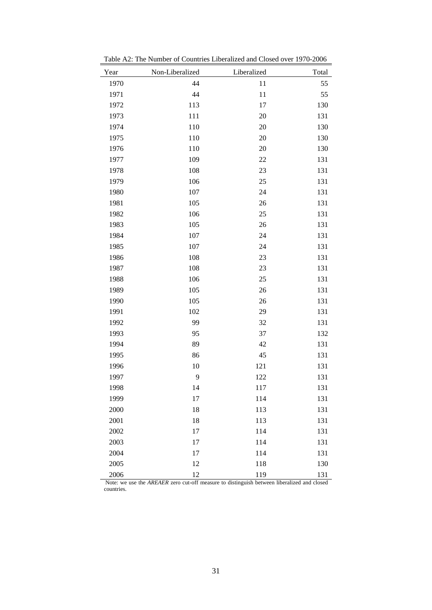| Year | Non-Liberalized | Liberalized | Total |
|------|-----------------|-------------|-------|
| 1970 | 44              | 11          | 55    |
| 1971 | 44              | 11          | 55    |
| 1972 | 113             | $17\,$      | 130   |
| 1973 | $111\,$         | $20\,$      | 131   |
| 1974 | 110             | $20\,$      | 130   |
| 1975 | 110             | $20\,$      | 130   |
| 1976 | 110             | $20\,$      | 130   |
| 1977 | 109             | $22\,$      | 131   |
| 1978 | 108             | $23\,$      | 131   |
| 1979 | 106             | $25\,$      | 131   |
| 1980 | 107             | 24          | 131   |
| 1981 | 105             | $26\,$      | 131   |
| 1982 | 106             | $25\,$      | 131   |
| 1983 | 105             | $26\,$      | 131   |
| 1984 | 107             | 24          | 131   |
| 1985 | 107             | 24          | 131   |
| 1986 | 108             | 23          | 131   |
| 1987 | 108             | $23\,$      | 131   |
| 1988 | 106             | $25\,$      | 131   |
| 1989 | 105             | $26\,$      | 131   |
| 1990 | 105             | $26\,$      | 131   |
| 1991 | 102             | 29          | 131   |
| 1992 | 99              | $32\,$      | 131   |
| 1993 | 95              | 37          | 132   |
| 1994 | 89              | 42          | 131   |
| 1995 | 86              | $45\,$      | 131   |
| 1996 | 10              | $121\,$     | 131   |
| 1997 | 9               | $122\,$     | 131   |
| 1998 | 14              | 117         | 131   |
| 1999 | 17              | 114         | 131   |
| 2000 | 18              | 113         | 131   |
| 2001 | 18              | 113         | 131   |
| 2002 | 17              | 114         | 131   |
| 2003 | 17              | 114         | 131   |
| 2004 | 17              | 114         | 131   |
| 2005 | 12              | 118         | 130   |
| 2006 | 12              | 119         | 131   |

Table A2: The Number of Countries Liberalized and Closed over 1970-2006

Note: we use the *AREAER* zero cut-off measure to distinguish between liberalized and closed countries.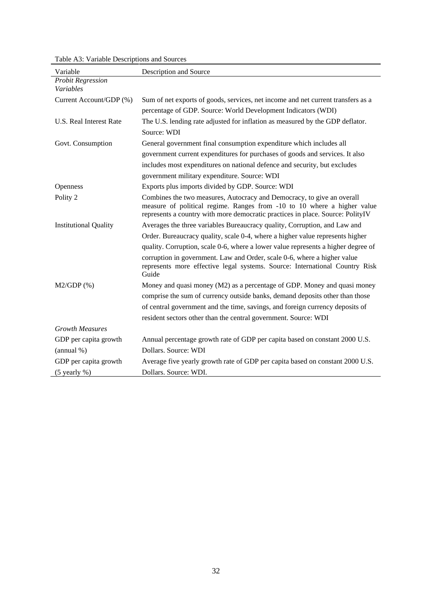| Variable                     | Description and Source                                                                                                                                                                                                              |
|------------------------------|-------------------------------------------------------------------------------------------------------------------------------------------------------------------------------------------------------------------------------------|
| <b>Probit Regression</b>     |                                                                                                                                                                                                                                     |
| Variables                    |                                                                                                                                                                                                                                     |
| Current Account/GDP (%)      | Sum of net exports of goods, services, net income and net current transfers as a                                                                                                                                                    |
|                              | percentage of GDP. Source: World Development Indicators (WDI)                                                                                                                                                                       |
| U.S. Real Interest Rate      | The U.S. lending rate adjusted for inflation as measured by the GDP deflator.                                                                                                                                                       |
|                              | Source: WDI                                                                                                                                                                                                                         |
| Govt. Consumption            | General government final consumption expenditure which includes all                                                                                                                                                                 |
|                              | government current expenditures for purchases of goods and services. It also                                                                                                                                                        |
|                              | includes most expenditures on national defence and security, but excludes                                                                                                                                                           |
|                              | government military expenditure. Source: WDI                                                                                                                                                                                        |
| Openness                     | Exports plus imports divided by GDP. Source: WDI                                                                                                                                                                                    |
| Polity 2                     | Combines the two measures, Autocracy and Democracy, to give an overall<br>measure of political regime. Ranges from -10 to 10 where a higher value<br>represents a country with more democratic practices in place. Source: PolityIV |
| <b>Institutional Quality</b> | Averages the three variables Bureaucracy quality, Corruption, and Law and                                                                                                                                                           |
|                              | Order. Bureaucracy quality, scale 0-4, where a higher value represents higher                                                                                                                                                       |
|                              | quality. Corruption, scale 0-6, where a lower value represents a higher degree of                                                                                                                                                   |
|                              | corruption in government. Law and Order, scale 0-6, where a higher value<br>represents more effective legal systems. Source: International Country Risk<br>Guide                                                                    |
| $M2/GDP$ (%)                 | Money and quasi money (M2) as a percentage of GDP. Money and quasi money                                                                                                                                                            |
|                              | comprise the sum of currency outside banks, demand deposits other than those                                                                                                                                                        |
|                              | of central government and the time, savings, and foreign currency deposits of                                                                                                                                                       |
|                              | resident sectors other than the central government. Source: WDI                                                                                                                                                                     |
| <b>Growth Measures</b>       |                                                                                                                                                                                                                                     |
| GDP per capita growth        | Annual percentage growth rate of GDP per capita based on constant 2000 U.S.                                                                                                                                                         |
| (annual %)                   | Dollars. Source: WDI                                                                                                                                                                                                                |
| GDP per capita growth        | Average five yearly growth rate of GDP per capita based on constant 2000 U.S.                                                                                                                                                       |
| $(5$ yearly %)               | Dollars. Source: WDI.                                                                                                                                                                                                               |

Table A3: Variable Descriptions and Sources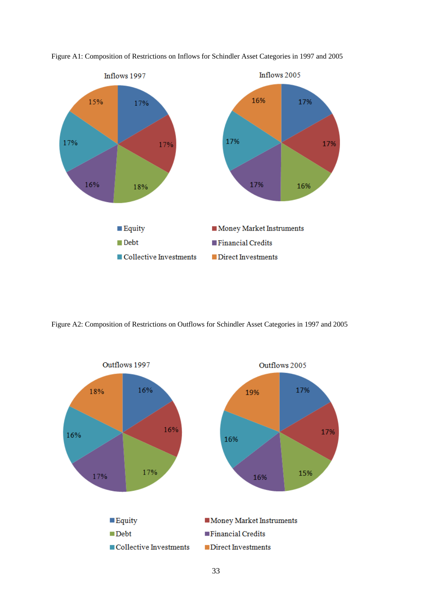

Figure A1: Composition of Restrictions on Inflows for Schindler Asset Categories in 1997 and 2005

Figure A2: Composition of Restrictions on Outflows for Schindler Asset Categories in 1997 and 2005

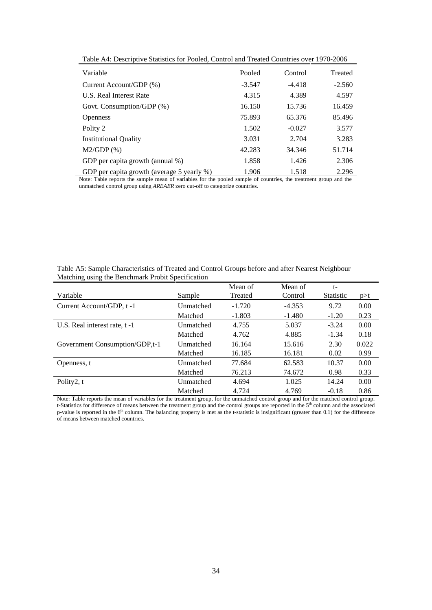| Variable                                   | Pooled   | Control  | Treated  |
|--------------------------------------------|----------|----------|----------|
| Current Account/GDP (%)                    | $-3.547$ | $-4.418$ | $-2.560$ |
| <b>U.S. Real Interest Rate</b>             | 4.315    | 4.389    | 4.597    |
| Govt. Consumption/GDP (%)                  | 16.150   | 15.736   | 16.459   |
| Openness                                   | 75.893   | 65.376   | 85.496   |
| Polity 2                                   | 1.502    | $-0.027$ | 3.577    |
| <b>Institutional Quality</b>               | 3.031    | 2.704    | 3.283    |
| $M2/GDP$ (%)                               | 42.283   | 34.346   | 51.714   |
| GDP per capita growth (annual %)           | 1.858    | 1.426    | 2.306    |
| GDP per capita growth (average 5 yearly %) | 1.906    | 1.518    | 2.296    |

Table A4: Descriptive Statistics for Pooled, Control and Treated Countries over 1970-2006

Note: Table reports the sample mean of variables for the pooled sample of countries, the treatment group and the unmatched control group using *AREAER* zero cut-off to categorize countries.

|                                |           | Mean of  | Mean o   |               |          |
|--------------------------------|-----------|----------|----------|---------------|----------|
| Variable                       | Sample    | Treated  | Control  | Statistic p>t |          |
| Current Account/GDP, t-1       | Unmatched | $-1.720$ | $-4.353$ | 9.72          | 0.00     |
|                                | Matched   | $-1.803$ | $-1.480$ | $-1.20$       | 0.23     |
| U.S. Real interest rate, t-1   | Unmatched | 4.755    | 5.037    | $-3.24$       | $0.00\,$ |
|                                | Matched   | 4.762    | 4.885    | $-1.34$       | 0.18     |
| Government Consumption/GDP,t-1 | Unmatched | 16.164   | 15.616   | 2.30          | 0.022    |
|                                | Matched   | 16.185   | 16.181   | 0.02          | 0.99     |
| Openness, t                    | Unmatched | 77.684   | 62.583   | 10.37         | 0.00     |
|                                | Matched   | 76.213   | 74.672   | 0.98          | 0.33     |
| Polity2, t                     | Unmatched | 4.694    | 1.025    | 14.24         | 0.00     |
|                                | Matched   | 4.724    | 4.769    | $-0.18$       | 0.86     |

Table A5: Sample Characteristics of Treated and Control Groups before and after Nearest Neighbour Matching using the Benchmark Probit Specification

Note: Table reports the mean of variables for the treatment group, for the unmatched control group and for the matched control group. t-Statistics for difference of means between the treatment group and the control groups are reported in the 5<sup>th</sup> column and the associated <sup>th</sup> column and the associated p-value is reported in the  $6<sup>th</sup>$  column. The balancing property is met as the t-statistic is insignificant (greater than 0.1) for the difference of means between matched countries.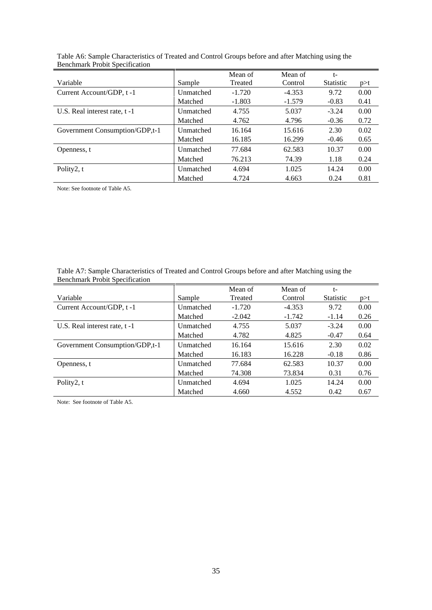|                                |           | Mean of  | Mean of  |                   |          |
|--------------------------------|-----------|----------|----------|-------------------|----------|
| Variable                       | Sample    | Treated  | Control  | Statistic $p > t$ |          |
| Current Account/GDP, t-1       | Unmatched | $-1.720$ | $-4.353$ |                   | $0.00\,$ |
|                                | Matched   | $-1.803$ | $-1.579$ | $-0.83$           | 0.41     |
| U.S. Real interest rate, t-1   | Unmatched | 4.755    | 5.037    | -3.24             | $0.00\,$ |
|                                | Matched   | 4.762    | 4.796    | $-0.36$           | 0.72     |
| Government Consumption/GDP,t-1 | Unmatched | 16.164   | 15.616   | 2.30              | 0.02     |
|                                | Matched   | 16.185   | 16.299   | $-0.46$           | 0.65     |
| Openness, t                    | Unmatched | 77.684   | 62.583   | 10.37             | 0.00     |
|                                | Matched   | 76.213   | 74.39    | .18               | 0.24     |
| Polity2, t                     | Unmatched | 4.694    | 1.025    | 14.24             | 0.00     |
|                                | Matched   | 4.724    | 4.663    | 0.24              | 0.81     |

Table A6: Sample Characteristics of Treated and Control Groups before and after Matching using the Benchmark Probit Specification

Note: See footnote of Table A5.

| Table A7: S<br>3. Sample Characteristics of Treated and Control Groups before and after Matching using the |  |
|------------------------------------------------------------------------------------------------------------|--|
| <b>Benchmark Probit Specification</b>                                                                      |  |

|                                |           | Mean of  | Mean of  |                   |          |
|--------------------------------|-----------|----------|----------|-------------------|----------|
| Variable                       | Sample    | Treated  | Control  | Statistic $p > t$ |          |
| Current Account/GDP, t-1       | Unmatched | $-1.720$ | $-4.353$ | 9.72              | $0.00\,$ |
|                                | Matched   | $-2.042$ | $-1.742$ | $-1.14$           | 0.26     |
| U.S. Real interest rate, t-1   | Unmatched | 4.755    | 5.037    | $-3.24$           | 0.00     |
|                                | Matched   | 4.782    | 4.825    | $-0.47$           | 0.64     |
| Government Consumption/GDP,t-1 | Unmatched | 16.164   | 15.616   | 2.30              | 0.02     |
|                                | Matched   | 16.183   | 16.228   | $-0.18$           | 0.86     |
| Openness, t                    | Unmatched | 77.684   | 62.583   | 10.37             | $0.00\,$ |
|                                | Matched   | 74.308   | 73.834   | 0.31              | 0.76     |
| Polity2, t                     | Unmatched | 4.694    | 1.025    | 14.24             | $0.00\,$ |
|                                | Matched   | 4.660    | 4.552    | 0.42              | 0.67     |

Note: See footnote of Table A5.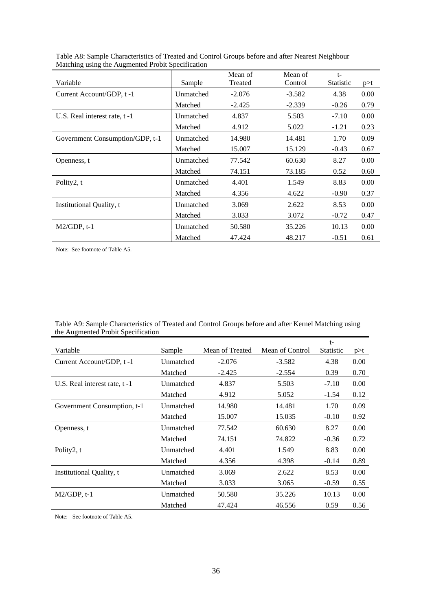| <u>Matering asing the Augmented Front Specification</u> |           |          |          |               |          |
|---------------------------------------------------------|-----------|----------|----------|---------------|----------|
|                                                         |           | Mean of  | Mean of  |               |          |
| Variable                                                | Sample    | Treated  | Control  | Statistic p>t |          |
| Current Account/GDP, t-1                                | Unmatched | $-2.076$ | $-3.582$ | 4.38          | $0.00\,$ |
|                                                         | Matched   | $-2.425$ | $-2.339$ | $-0.26$       | 0.79     |
| U.S. Real interest rate, t-1                            | Unmatched | 4.837    | 5.503    | $-7.10$       | $0.00\,$ |
|                                                         | Matched   | 4.912    | 5.022    | $-1.21$       | 0.23     |
| Government Consumption/GDP, t-1                         | Unmatched | 14.980   | 14.481   | 1.70          | 0.09     |
|                                                         | Matched   | 15.007   | 15.129   | $-0.43$       | 0.67     |
| Openness, t                                             | Unmatched | 77.542   | 60.630   | 8.27          | $0.00\,$ |
|                                                         | Matched   | 74.151   | 73.185   | 0.52          | 0.60     |
| Polity2, t                                              | Unmatched | 4.401    | 1.549    | 8.83          | $0.00\,$ |
|                                                         | Matched   | 4.356    | 4.622    | $-0.90$       | 0.37     |
| Institutional Quality, t                                | Unmatched | 3.069    | 2.622    | 8.53          | $0.00\,$ |
|                                                         | Matched   | 3.033    | 3.072    | $-0.72$       | 0.47     |
| $M2/GDP, t-1$                                           | Unmatched | 50.580   | 35.226   | 10.13         | 0.00     |
| ______                                                  | Matched   | 47.424   | 48.217   | $-0.51$       | 0.61     |

Table A8: Sample Characteristics of Treated and Control Groups before and after Nearest Neighbour Matching using the Augmented Probit Specification

Note: See footnote of Table A5.

| Table A9: Sample Characteristics of Treated and Control Groups before and after Kernel Matching using |  |
|-------------------------------------------------------------------------------------------------------|--|
| the Augmented Probit Specification                                                                    |  |

| Variable                     | Sample    | Mean of Treated | Mean of Control | Statistic p>t |          |
|------------------------------|-----------|-----------------|-----------------|---------------|----------|
| Current Account/GDP, t-1     | Unmatched | $-2.076$        | $-3.582$        | 4.38          | $0.00\,$ |
|                              | Matched   | $-2.425$        | $-2.554$        | 0.39          | 0.70     |
| U.S. Real interest rate, t-1 | Unmatched | 4.837           | 5.503           | $-7.10$       | 0.00     |
|                              | Matched   | 4.912           | 5.052           | $-1.54$ 0.12  |          |
| Government Consumption, t-1  | Unmatched | 14.980          | 14.481          | 1.70          | 0.09     |
|                              | Matched   | 15.007          | 15.035          | $-0.10$ 0.92  |          |
| Openness, t                  | Unmatched | 77.542          | 60.630          | 8.27          | $0.00\,$ |
|                              | Matched   | 74.151          | 74.822          | $-0.36$ 0.72  |          |
| Polity2, t                   | Unmatched | 4.401           | 1.549           | 8.83          | 0.00     |
|                              | Matched   | 4.356           | 4.398           | $-0.14$       | 0.89     |
| Institutional Quality, t     | Unmatched | 3.069           | 2.622           | 8.53          | 0.00     |
|                              | Matched   | 3.033           | 3.065           | $-0.59$       | 0.55     |
| $M2/GDP, t-1$                | Unmatched | 50.580          | 35.226          | 10.13         | 0.00     |
|                              | Matched   | 47.424          | 46.556          | 0.59          | 0.56     |

Note: See footnote of Table A5.